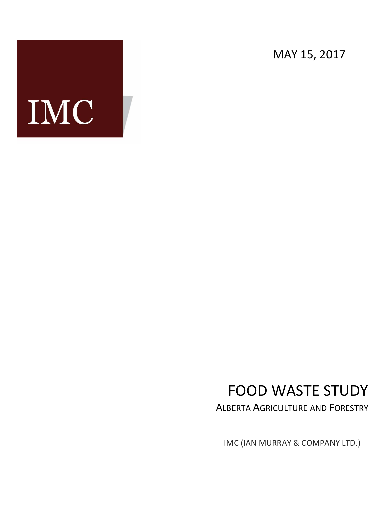MAY 15, 2017

# IMC

# FOOD WASTE STUDY

ALBERTA AGRICULTURE AND FORESTRY

IMC (IAN MURRAY & COMPANY LTD.)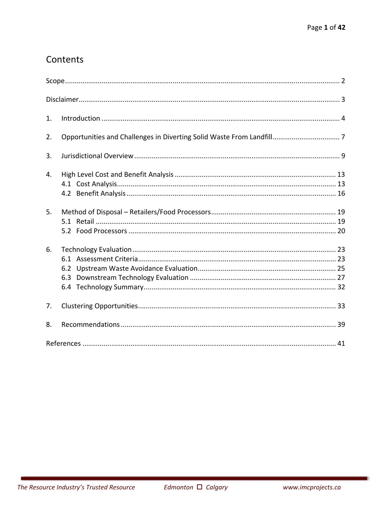# Contents

| 1. |            |
|----|------------|
| 2. |            |
| 3. |            |
| 4. |            |
| 5. |            |
| 6. | 6.2<br>6.3 |
| 7. |            |
| 8. |            |
|    |            |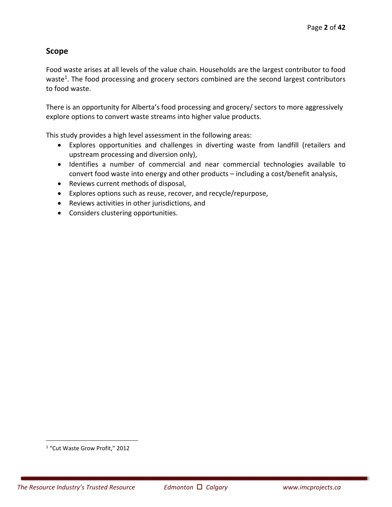# **Scope**

Food waste arises at all levels of the value chain. Households are the largest contributor to food waste<sup>1</sup>. The food processing and grocery sectors combined are the second largest contributors to food waste.

There is an opportunity for Alberta's food processing and grocery/ sectors to more aggressively explore options to convert waste streams into higher value products.

This study provides a high level assessment in the following areas:

- Explores opportunities and challenges in diverting waste from landfill (retailers and upstream processing and diversion only),
- Identifies a number of commercial and near commercial technologies available to convert food waste into energy and other products – including a cost/benefit analysis,
- Reviews current methods of disposal,
- Explores options such as reuse, recover, and recycle/repurpose,
- Reviews activities in other jurisdictions, and
- Considers clustering opportunities.

 $\overline{a}$ 

<sup>&</sup>lt;sup>1</sup> "Cut Waste Grow Profit," 2012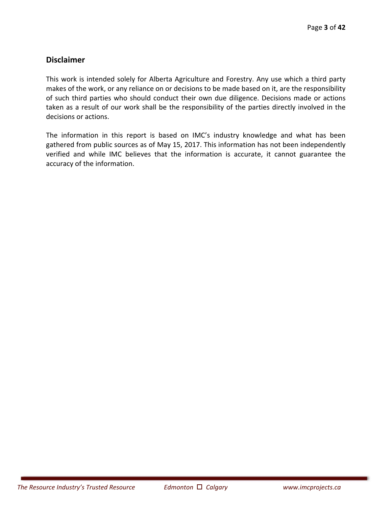# **Disclaimer**

This work is intended solely for Alberta Agriculture and Forestry. Any use which a third party makes of the work, or any reliance on or decisions to be made based on it, are the responsibility of such third parties who should conduct their own due diligence. Decisions made or actions taken as a result of our work shall be the responsibility of the parties directly involved in the decisions or actions.

The information in this report is based on IMC's industry knowledge and what has been gathered from public sources as of May 15, 2017. This information has not been independently verified and while IMC believes that the information is accurate, it cannot guarantee the accuracy of the information.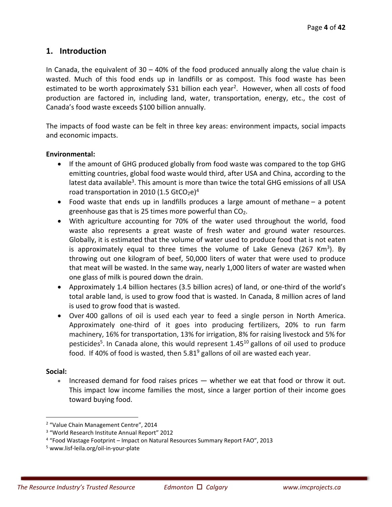# **1. Introduction**

In Canada, the equivalent of  $30 - 40\%$  of the food produced annually along the value chain is wasted. Much of this food ends up in landfills or as compost. This food waste has been estimated to be worth approximately \$31 billion each year<sup>2</sup>. However, when all costs of food production are factored in, including land, water, transportation, energy, etc., the cost of Canada's food waste exceeds \$100 billion annually.

The impacts of food waste can be felt in three key areas: environment impacts, social impacts and economic impacts.

#### **Environmental:**

- If the amount of GHG produced globally from food waste was compared to the top GHG emitting countries, global food waste would third, after USA and China, according to the latest data available<sup>3</sup>. This amount is more than twice the total GHG emissions of all USA road transportation in 2010 (1.5 GtCO<sub>2</sub>e)<sup>4</sup>
- Food waste that ends up in landfills produces a large amount of methane a potent greenhouse gas that is 25 times more powerful than  $CO<sub>2</sub>$ .
- With agriculture accounting for 70% of the water used throughout the world, food waste also represents a great waste of fresh water and ground water resources. Globally, it is estimated that the volume of water used to produce food that is not eaten is approximately equal to three times the volume of Lake Geneva  $(267 \text{ Km}^3)$ . By throwing out one kilogram of beef, 50,000 liters of water that were used to produce that meat will be wasted. In the same way, nearly 1,000 liters of water are wasted when one glass of milk is poured down the drain.
- Approximately 1.4 billion hectares (3.5 billion acres) of land, or one-third of the world's total arable land, is used to grow food that is wasted. In Canada, 8 million acres of land is used to grow food that is wasted.
- Over 400 gallons of oil is used each year to feed a single person in North America. Approximately one-third of it goes into producing fertilizers, 20% to run farm machinery, 16% for transportation, 13% for irrigation, 8% for raising livestock and 5% for pesticides<sup>5</sup>. In Canada alone, this would represent  $1.45^{10}$  gallons of oil used to produce food. If 40% of food is wasted, then  $5.81<sup>9</sup>$  gallons of oil are wasted each year.

#### **Social:**

 $\overline{a}$ 

Increased demand for food raises prices — whether we eat that food or throw it out. This impact low income families the most, since a larger portion of their income goes toward buying food.

<sup>&</sup>lt;sup>2</sup> "Value Chain Management Centre", 2014

<sup>&</sup>lt;sup>3</sup> "World Research Institute Annual Report" 2012

<sup>&</sup>lt;sup>4</sup> "Food Wastage Footprint – Impact on Natural Resources Summary Report FAO", 2013

<sup>5</sup> www.lisf‐leila.org/oil‐in‐your‐plate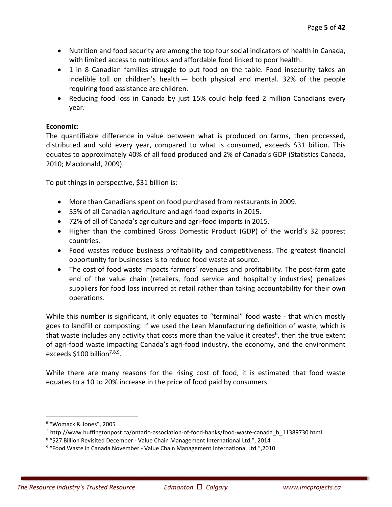- Nutrition and food security are among the top four social indicators of health in Canada, with limited access to nutritious and affordable food linked to poor health.
- 1 in 8 Canadian families struggle to put food on the table. Food insecurity takes an indelible toll on children's health — both physical and mental. 32% of the people requiring food assistance are children.
- Reducing food loss in Canada by just 15% could help feed 2 million Canadians every year.

#### Economic:

The quantifiable difference in value between what is produced on farms, then processed, distributed and sold every year, compared to what is consumed, exceeds \$31 billion. This equates to approximately 40% of all food produced and 2% of Canada's GDP (Statistics Canada, 2010; Macdonald, 2009).

To put things in perspective, \$31 billion is:

- More than Canadians spent on food purchased from restaurants in 2009.
- 55% of all Canadian agriculture and agri‐food exports in 2015.
- 72% of all of Canada's agriculture and agri‐food imports in 2015.
- Higher than the combined Gross Domestic Product (GDP) of the world's 32 poorest countries.
- Food wastes reduce business profitability and competitiveness. The greatest financial opportunity for businesses is to reduce food waste at source.
- The cost of food waste impacts farmers' revenues and profitability. The post-farm gate end of the value chain (retailers, food service and hospitality industries) penalizes suppliers for food loss incurred at retail rather than taking accountability for their own operations.

While this number is significant, it only equates to "terminal" food waste - that which mostly goes to landfill or composting. If we used the Lean Manufacturing definition of waste, which is that waste includes any activity that costs more than the value it creates<sup>6</sup>, then the true extent of agri-food waste impacting Canada's agri-food industry, the economy, and the environment exceeds  $$100$  billion<sup>7,8,9</sup>.

While there are many reasons for the rising cost of food, it is estimated that food waste equates to a 10 to 20% increase in the price of food paid by consumers.

 $\overline{a}$ 

<sup>6</sup> "Womack & Jones", 2005

 $^7$  http://www.huffingtonpost.ca/ontario-association-of-food-banks/food-waste-canada\_b\_11389730.html

<sup>8</sup> "\$27 Billion Revisited December ‐ Value Chain Management International Ltd.", 2014

<sup>9</sup> "Food Waste in Canada November ‐ Value Chain Management International Ltd.",2010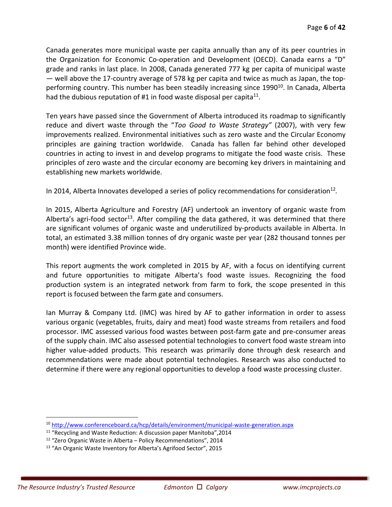Canada generates more municipal waste per capita annually than any of its peer countries in the Organization for Economic Co-operation and Development (OECD). Canada earns a "D" grade and ranks in last place. In 2008, Canada generated 777 kg per capita of municipal waste — well above the 17‐country average of 578 kg per capita and twice as much as Japan, the top‐ performing country. This number has been steadily increasing since 1990<sup>10</sup>. In Canada, Alberta had the dubious reputation of #1 in food waste disposal per capita<sup>11</sup>.

Ten years have passed since the Government of Alberta introduced its roadmap to significantly reduce and divert waste through the "*Too Good to Waste Strategy"* (2007), with very few improvements realized. Environmental initiatives such as zero waste and the Circular Economy principles are gaining traction worldwide. Canada has fallen far behind other developed countries in acting to invest in and develop programs to mitigate the food waste crisis. These principles of zero waste and the circular economy are becoming key drivers in maintaining and establishing new markets worldwide.

In 2014, Alberta Innovates developed a series of policy recommendations for consideration<sup>12</sup>.

In 2015, Alberta Agriculture and Forestry (AF) undertook an inventory of organic waste from Alberta's agri-food sector<sup>13</sup>. After compiling the data gathered, it was determined that there are significant volumes of organic waste and underutilized by-products available in Alberta. In total, an estimated 3.38 million tonnes of dry organic waste per year (282 thousand tonnes per month) were identified Province wide.

This report augments the work completed in 2015 by AF, with a focus on identifying current and future opportunities to mitigate Alberta's food waste issues. Recognizing the food production system is an integrated network from farm to fork, the scope presented in this report is focused between the farm gate and consumers.

Ian Murray & Company Ltd. (IMC) was hired by AF to gather information in order to assess various organic (vegetables, fruits, dairy and meat) food waste streams from retailers and food processor. IMC assessed various food wastes between post‐farm gate and pre‐consumer areas of the supply chain. IMC also assessed potential technologies to convert food waste stream into higher value-added products. This research was primarily done through desk research and recommendations were made about potential technologies. Research was also conducted to determine if there were any regional opportunities to develop a food waste processing cluster.

 $\overline{a}$ 

<sup>10</sup> http://www.conferenceboard.ca/hcp/details/environment/municipal‐waste‐generation.aspx

<sup>11 &</sup>quot;Recycling and Waste Reduction: A discussion paper Manitoba",2014

<sup>12 &</sup>quot;Zero Organic Waste in Alberta – Policy Recommendations", 2014

<sup>13 &</sup>quot;An Organic Waste Inventory for Alberta's Agrifood Sector", 2015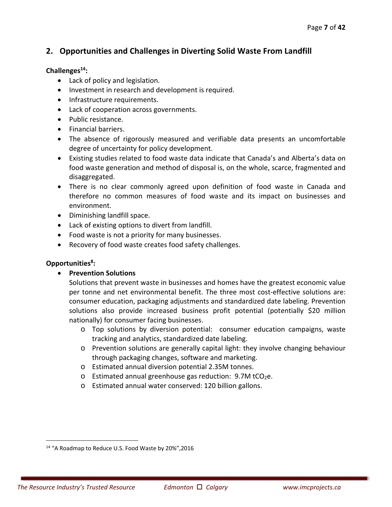# **2. Opportunities and Challenges in Diverting Solid Waste From Landfill**

#### **Challenges14:**

- Lack of policy and legislation.
- Investment in research and development is required.
- Infrastructure requirements.
- Lack of cooperation across governments.
- Public resistance.
- Financial barriers.
- The absence of rigorously measured and verifiable data presents an uncomfortable degree of uncertainty for policy development.
- Existing studies related to food waste data indicate that Canada's and Alberta's data on food waste generation and method of disposal is, on the whole, scarce, fragmented and disaggregated.
- There is no clear commonly agreed upon definition of food waste in Canada and therefore no common measures of food waste and its impact on businesses and environment.
- Diminishing landfill space.
- Lack of existing options to divert from landfill.
- Food waste is not a priority for many businesses.
- Recovery of food waste creates food safety challenges.

#### **Opportunities8:**

<u>.</u>

**Prevention Solutions** 

Solutions that prevent waste in businesses and homes have the greatest economic value per tonne and net environmental benefit. The three most cost-effective solutions are: consumer education, packaging adjustments and standardized date labeling. Prevention solutions also provide increased business profit potential (potentially \$20 million nationally) for consumer facing businesses.

- $\circ$  Top solutions by diversion potential: consumer education campaigns, waste tracking and analytics, standardized date labeling.
- o Prevention solutions are generally capital light: they involve changing behaviour through packaging changes, software and marketing.
- o Estimated annual diversion potential 2.35M tonnes.
- $\circ$  Estimated annual greenhouse gas reduction: 9.7M tCO<sub>2</sub>e.
- o Estimated annual water conserved: 120 billion gallons.

<sup>14 &</sup>quot;A Roadmap to Reduce U.S. Food Waste by 20%",2016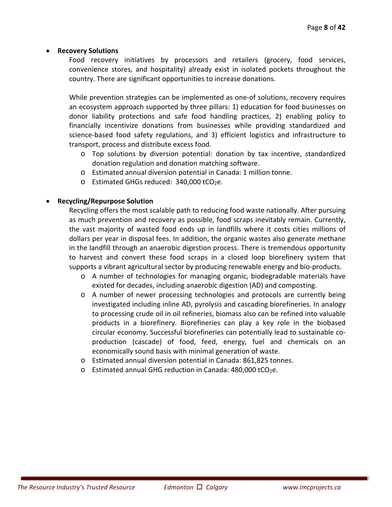#### **Recovery Solutions**

Food recovery initiatives by processors and retailers (grocery, food services, convenience stores, and hospitality) already exist in isolated pockets throughout the country. There are significant opportunities to increase donations.

While prevention strategies can be implemented as one‐of solutions, recovery requires an ecosystem approach supported by three pillars: 1) education for food businesses on donor liability protections and safe food handling practices, 2) enabling policy to financially incentivize donations from businesses while providing standardized and science-based food safety regulations, and 3) efficient logistics and infrastructure to transport, process and distribute excess food.

- $\circ$  Top solutions by diversion potential: donation by tax incentive, standardized donation regulation and donation matching software.
- o Estimated annual diversion potential in Canada: 1 million tonne.
- $\circ$  Estimated GHGs reduced: 340,000 tCO<sub>2</sub>e.

#### **Recycling/Repurpose Solution**

Recycling offers the most scalable path to reducing food waste nationally. After pursuing as much prevention and recovery as possible, food scraps inevitably remain. Currently, the vast majority of wasted food ends up in landfills where it costs cities millions of dollars per year in disposal fees. In addition, the organic wastes also generate methane in the landfill through an anaerobic digestion process. There is tremendous opportunity to harvest and convert these food scraps in a closed loop biorefinery system that supports a vibrant agricultural sector by producing renewable energy and bio‐products.

- o A number of technologies for managing organic, biodegradable materials have existed for decades, including anaerobic digestion (AD) and composting.
- o A number of newer processing technologies and protocols are currently being investigated including inline AD, pyrolysis and cascading biorefineries. In analogy to processing crude oil in oil refineries, biomass also can be refined into valuable products in a biorefinery. Biorefineries can play a key role in the biobased circular economy. Successful biorefineries can potentially lead to sustainable co‐ production (cascade) of food, feed, energy, fuel and chemicals on an economically sound basis with minimal generation of waste.
- o Estimated annual diversion potential in Canada: 861,825 tonnes.
- $\circ$  Estimated annual GHG reduction in Canada: 480,000 tCO<sub>2</sub>e.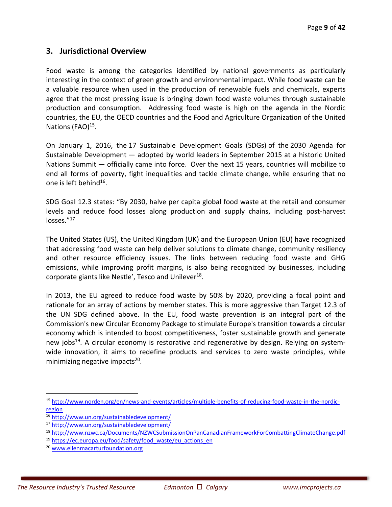# **3. Jurisdictional Overview**

Food waste is among the categories identified by national governments as particularly interesting in the context of green growth and environmental impact. While food waste can be a valuable resource when used in the production of renewable fuels and chemicals, experts agree that the most pressing issue is bringing down food waste volumes through sustainable production and consumption. Addressing food waste is high on the agenda in the Nordic countries, the EU, the OECD countries and the Food and Agriculture Organization of the United Nations (FAO)<sup>15</sup>.

On January 1, 2016, the 17 Sustainable Development Goals (SDGs) of the 2030 Agenda for Sustainable Development — adopted by world leaders in September 2015 at a historic United Nations Summit — officially came into force. Over the next 15 years, countries will mobilize to end all forms of poverty, fight inequalities and tackle climate change, while ensuring that no one is left behind $16$ .

SDG Goal 12.3 states: "By 2030, halve per capita global food waste at the retail and consumer levels and reduce food losses along production and supply chains, including post-harvest losses."<sup>17</sup>

The United States (US), the United Kingdom (UK) and the European Union (EU) have recognized that addressing food waste can help deliver solutions to climate change, community resiliency and other resource efficiency issues. The links between reducing food waste and GHG emissions, while improving profit margins, is also being recognized by businesses, including corporate giants like Nestle', Tesco and Unilever<sup>18</sup>.

In 2013, the EU agreed to reduce food waste by 50% by 2020, providing a focal point and rationale for an array of actions by member states. This is more aggressive than Target 12.3 of the UN SDG defined above. In the EU, food waste prevention is an integral part of the Commission's new Circular Economy Package to stimulate Europe's transition towards a circular economy which is intended to boost competitiveness, foster sustainable growth and generate new jobs<sup>19</sup>. A circular economy is restorative and regenerative by design. Relying on systemwide innovation, it aims to redefine products and services to zero waste principles, while minimizing negative impacts $20$ .

-

<sup>15</sup> http://www.norden.org/en/news‐and‐events/articles/multiple‐benefits‐of‐reducing‐food‐waste‐in‐the‐nordic‐ region

<sup>16</sup> http://www.un.org/sustainabledevelopment/

<sup>17</sup> http://www.un.org/sustainabledevelopment/

<sup>18</sup> http://www.nzwc.ca/Documents/NZWCSubmissionOnPanCanadianFrameworkForCombattingClimateChange.pdf

<sup>&</sup>lt;sup>19</sup> https://ec.europa.eu/food/safety/food\_waste/eu\_actions\_en

<sup>20</sup> www.ellenmacarturfoundation.org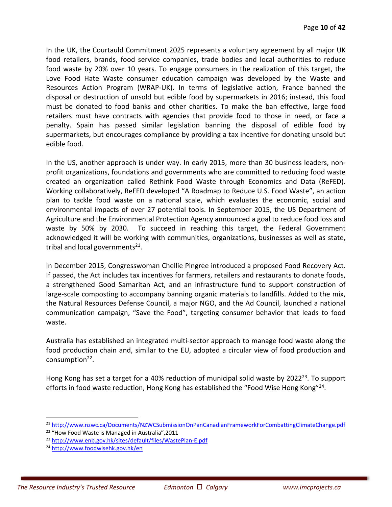In the UK, the Courtauld Commitment 2025 represents a voluntary agreement by all major UK food retailers, brands, food service companies, trade bodies and local authorities to reduce food waste by 20% over 10 years. To engage consumers in the realization of this target, the Love Food Hate Waste consumer education campaign was developed by the Waste and Resources Action Program (WRAP‐UK). In terms of legislative action, France banned the disposal or destruction of unsold but edible food by supermarkets in 2016; instead, this food must be donated to food banks and other charities. To make the ban effective, large food retailers must have contracts with agencies that provide food to those in need, or face a penalty. Spain has passed similar legislation banning the disposal of edible food by supermarkets, but encourages compliance by providing a tax incentive for donating unsold but edible food.

In the US, another approach is under way. In early 2015, more than 30 business leaders, non‐ profit organizations, foundations and governments who are committed to reducing food waste created an organization called Rethink Food Waste through Economics and Data (ReFED). Working collaboratively, ReFED developed "A Roadmap to Reduce U.S. Food Waste", an action plan to tackle food waste on a national scale, which evaluates the economic, social and environmental impacts of over 27 potential tools. In September 2015, the US Department of Agriculture and the Environmental Protection Agency announced a goal to reduce food loss and waste by 50% by 2030. To succeed in reaching this target, the Federal Government acknowledged it will be working with communities, organizations, businesses as well as state, tribal and local governments<sup>21</sup>.

In December 2015, Congresswoman Chellie Pingree introduced a proposed Food Recovery Act. If passed, the Act includes tax incentives for farmers, retailers and restaurants to donate foods, a strengthened Good Samaritan Act, and an infrastructure fund to support construction of large‐scale composting to accompany banning organic materials to landfills. Added to the mix, the Natural Resources Defense Council, a major NGO, and the Ad Council, launched a national communication campaign, "Save the Food", targeting consumer behavior that leads to food waste.

Australia has established an integrated multi‐sector approach to manage food waste along the food production chain and, similar to the EU, adopted a circular view of food production and consumption<sup>22</sup>.

Hong Kong has set a target for a 40% reduction of municipal solid waste by 2022<sup>23</sup>. To support efforts in food waste reduction, Hong Kong has established the "Food Wise Hong Kong"<sup>24</sup>.

<u>.</u>

<sup>&</sup>lt;sup>21</sup> http://www.nzwc.ca/Documents/NZWCSubmissionOnPanCanadianFrameworkForCombattingClimateChange.pdf

<sup>&</sup>lt;sup>22</sup> "How Food Waste is Managed in Australia", 2011

<sup>23</sup> http://www.enb.gov.hk/sites/default/files/WastePlan‐E.pdf

<sup>24</sup> http://www.foodwisehk.gov.hk/en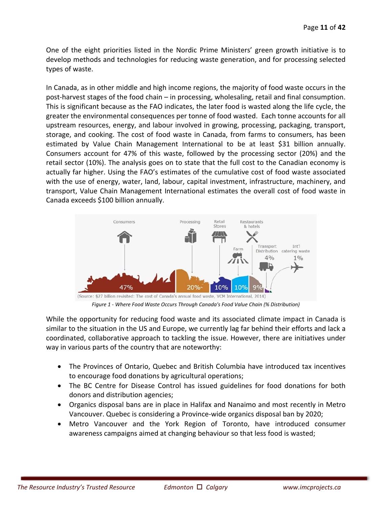One of the eight priorities listed in the Nordic Prime Ministers' green growth initiative is to develop methods and technologies for reducing waste generation, and for processing selected types of waste.

In Canada, as in other middle and high income regions, the majority of food waste occurs in the post-harvest stages of the food chain – in processing, wholesaling, retail and final consumption. This is significant because as the FAO indicates, the later food is wasted along the life cycle, the greater the environmental consequences per tonne of food wasted. Each tonne accounts for all upstream resources, energy, and labour involved in growing, processing, packaging, transport, storage, and cooking. The cost of food waste in Canada, from farms to consumers, has been estimated by Value Chain Management International to be at least \$31 billion annually. Consumers account for 47% of this waste, followed by the processing sector (20%) and the retail sector (10%). The analysis goes on to state that the full cost to the Canadian economy is actually far higher. Using the FAO's estimates of the cumulative cost of food waste associated with the use of energy, water, land, labour, capital investment, infrastructure, machinery, and transport, Value Chain Management International estimates the overall cost of food waste in Canada exceeds \$100 billion annually.



*Figure 1 ‐ Where Food Waste Occurs Through Canada's Food Value Chain (% Distribution)*

While the opportunity for reducing food waste and its associated climate impact in Canada is similar to the situation in the US and Europe, we currently lag far behind their efforts and lack a coordinated, collaborative approach to tackling the issue. However, there are initiatives under way in various parts of the country that are noteworthy:

- The Provinces of Ontario, Quebec and British Columbia have introduced tax incentives to encourage food donations by agricultural operations;
- The BC Centre for Disease Control has issued guidelines for food donations for both donors and distribution agencies;
- Organics disposal bans are in place in Halifax and Nanaimo and most recently in Metro Vancouver. Quebec is considering a Province‐wide organics disposal ban by 2020;
- Metro Vancouver and the York Region of Toronto, have introduced consumer awareness campaigns aimed at changing behaviour so that less food is wasted;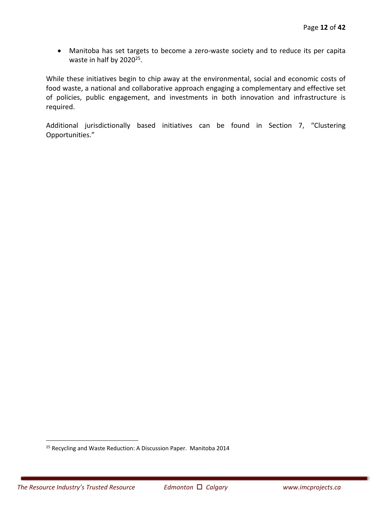● Manitoba has set targets to become a zero-waste society and to reduce its per capita waste in half by 2020<sup>25</sup>.

While these initiatives begin to chip away at the environmental, social and economic costs of food waste, a national and collaborative approach engaging a complementary and effective set of policies, public engagement, and investments in both innovation and infrastructure is required.

Additional jurisdictionally based initiatives can be found in Section 7, "Clustering Opportunities."

 $\overline{a}$ 

<sup>&</sup>lt;sup>25</sup> Recycling and Waste Reduction: A Discussion Paper. Manitoba 2014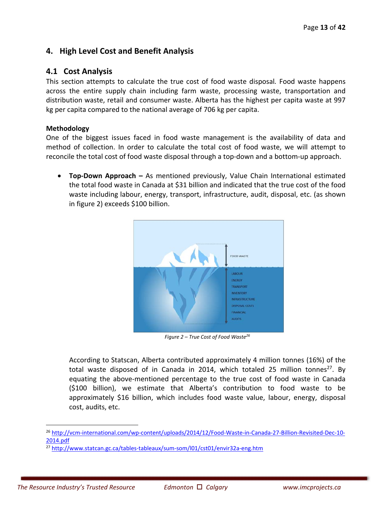# **4. High Level Cost and Benefit Analysis**

# **4.1 Cost Analysis**

This section attempts to calculate the true cost of food waste disposal*.*  Food waste happens across the entire supply chain including farm waste, processing waste, transportation and distribution waste, retail and consumer waste. Alberta has the highest per capita waste at 997 kg per capita compared to the national average of 706 kg per capita.

#### **Methodology**

One of the biggest issues faced in food waste management is the availability of data and method of collection. In order to calculate the total cost of food waste, we will attempt to reconcile the total cost of food waste disposal through a top‐down and a bottom‐up approach.

**• Top-Down Approach -** As mentioned previously, Value Chain International estimated the total food waste in Canada at \$31 billion and indicated that the true cost of the food waste including labour, energy, transport, infrastructure, audit, disposal, etc. (as shown in figure 2) exceeds \$100 billion.



*Figure 2 – True Cost of Food Waste26*

According to Statscan, Alberta contributed approximately 4 million tonnes (16%) of the total waste disposed of in Canada in 2014, which totaled 25 million tonnes<sup>27</sup>. By equating the above-mentioned percentage to the true cost of food waste in Canada (\$100 billion), we estimate that Alberta's contribution to food waste to be approximately \$16 billion, which includes food waste value, labour, energy, disposal cost, audits, etc.

-

<sup>&</sup>lt;sup>26</sup> http://vcm-international.com/wp-content/uploads/2014/12/Food-Waste-in-Canada-27-Billion-Revisited-Dec-10-2014.pdf

<sup>27</sup> http://www.statcan.gc.ca/tables‐tableaux/sum‐som/l01/cst01/envir32a‐eng.htm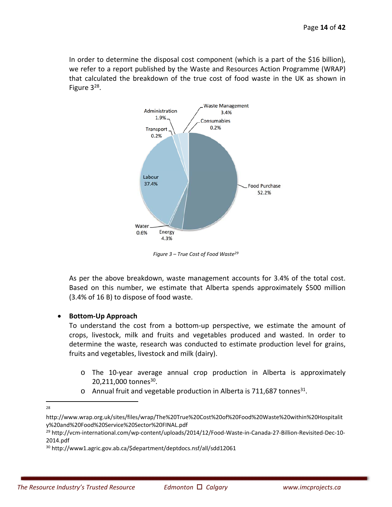In order to determine the disposal cost component (which is a part of the \$16 billion), we refer to a report published by the Waste and Resources Action Programme (WRAP) that calculated the breakdown of the true cost of food waste in the UK as shown in Figure  $3^{28}$ .



*Figure 3 – True Cost of Food Waste29*

As per the above breakdown, waste management accounts for 3.4% of the total cost. Based on this number, we estimate that Alberta spends approximately \$500 million (3.4% of 16 B) to dispose of food waste.

#### **Bottom‐Up Approach**

To understand the cost from a bottom‐up perspective, we estimate the amount of crops, livestock, milk and fruits and vegetables produced and wasted. In order to determine the waste, research was conducted to estimate production level for grains, fruits and vegetables, livestock and milk (dairy).

- o The 10‐year average annual crop production in Alberta is approximately 20,211,000 tonnes<sup>30</sup>.
- o Annual fruit and vegetable production in Alberta is 711,687 tonnes<sup>31</sup>.

 $\frac{1}{28}$ 

http://www.wrap.org.uk/sites/files/wrap/The%20True%20Cost%20of%20Food%20Waste%20within%20Hospitalit y%20and%20Food%20Service%20Sector%20FINAL.pdf

<sup>&</sup>lt;sup>29</sup> http://vcm-international.com/wp-content/uploads/2014/12/Food-Waste-in-Canada-27-Billion-Revisited-Dec-10-2014.pdf

<sup>30</sup> http://www1.agric.gov.ab.ca/\$department/deptdocs.nsf/all/sdd12061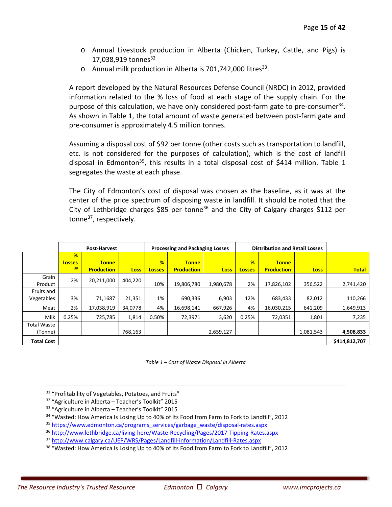- o Annual Livestock production in Alberta (Chicken, Turkey, Cattle, and Pigs) is 17,038,919 tonnes<sup>32</sup>
- $\circ$  Annual milk production in Alberta is 701,742,000 litres<sup>33</sup>.

A report developed by the Natural Resources Defense Council (NRDC) in 2012, provided information related to the % loss of food at each stage of the supply chain. For the purpose of this calculation, we have only considered post-farm gate to pre-consumer $34$ . As shown in Table 1, the total amount of waste generated between post-farm gate and pre‐consumer is approximately 4.5 million tonnes.

Assuming a disposal cost of \$92 per tonne (other costs such as transportation to landfill, etc. is not considered for the purposes of calculation), which is the cost of landfill disposal in Edmonton<sup>35</sup>, this results in a total disposal cost of \$414 million. Table 1 segregates the waste at each phase.

The City of Edmonton's cost of disposal was chosen as the baseline, as it was at the center of the price spectrum of disposing waste in landfill. It should be noted that the City of Lethbridge charges  $$85$  per tonne<sup>36</sup> and the City of Calgary charges  $$112$  per tonne<sup>37</sup>, respectively.

|                               |                          | <b>Post-Harvest</b>               |             |                    | <b>Processing and Packaging Losses</b> |             |                                |                                   | <b>Distribution and Retail Losses</b> |               |
|-------------------------------|--------------------------|-----------------------------------|-------------|--------------------|----------------------------------------|-------------|--------------------------------|-----------------------------------|---------------------------------------|---------------|
|                               | %<br><b>Losses</b><br>38 | <b>Tonne</b><br><b>Production</b> | <b>Loss</b> | %<br><b>Losses</b> | <b>Tonne</b><br><b>Production</b>      | <b>Loss</b> | $\frac{9}{6}$<br><b>Losses</b> | <b>Tonne</b><br><b>Production</b> | <b>Loss</b>                           | <b>Total</b>  |
| Grain<br>Product              | 2%                       | 20,211,000                        | 404,220     | 10%                | 19,806,780                             | 1,980,678   | 2%                             | 17,826,102                        | 356,522                               | 2,741,420     |
| Fruits and<br>Vegetables      | 3%                       | 71,1687                           | 21,351      | 1%                 | 690,336                                | 6,903       | 12%                            | 683,433                           | 82,012                                | 110,266       |
| Meat                          | 2%                       | 17,038,919                        | 34.0778     | 4%                 | 16,698,141                             | 667.926     | 4%                             | 16,030,215                        | 641.209                               | 1,649,913     |
| Milk                          | 0.25%                    | 725,785                           | 1,814       | 0.50%              | 72,3971                                | 3,620       | 0.25%                          | 72,0351                           | 1,801                                 | 7,235         |
| <b>Total Waste</b><br>(Tonne) |                          |                                   | 768,163     |                    |                                        | 2,659,127   |                                |                                   | 1,081,543                             | 4,508,833     |
| <b>Total Cost</b>             |                          |                                   |             |                    |                                        |             |                                |                                   |                                       | \$414,812,707 |

*Table 1 – Cost of Waste Disposal in Alberta*

 $\overline{a}$ <sup>31</sup> "Profitability of Vegetables, Potatoes, and Fruits"

- 32 "Agriculture in Alberta Teacher's Toolkit" 2015
- <sup>33</sup> "Agriculture in Alberta Teacher's Toolkit" 2015

<sup>34</sup> "Wasted: How America Is Losing Up to 40% of Its Food from Farm to Fork to Landfill", 2012

35 https://www.edmonton.ca/programs\_services/garbage\_waste/disposal-rates.aspx

<sup>36</sup> http://www.lethbridge.ca/living‐here/Waste‐Recycling/Pages/2017‐Tipping‐Rates.aspx

37 http://www.calgary.ca/UEP/WRS/Pages/Landfill-information/Landfill-Rates.aspx

<sup>38</sup> "Wasted: How America Is Losing Up to 40% of Its Food from Farm to Fork to Landfill", 2012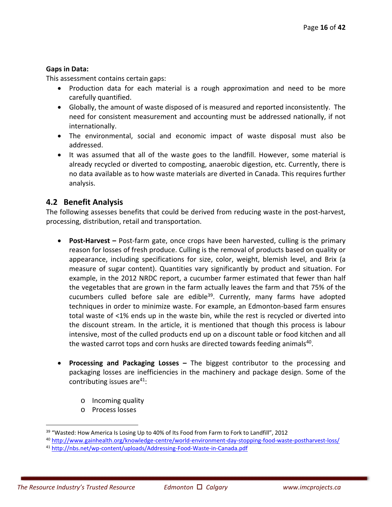#### **Gaps in Data:**

This assessment contains certain gaps:

- Production data for each material is a rough approximation and need to be more carefully quantified.
- Globally, the amount of waste disposed of is measured and reported inconsistently. The need for consistent measurement and accounting must be addressed nationally, if not internationally.
- The environmental, social and economic impact of waste disposal must also be addressed.
- It was assumed that all of the waste goes to the landfill. However, some material is already recycled or diverted to composting, anaerobic digestion, etc. Currently, there is no data available as to how waste materials are diverted in Canada. This requires further analysis.

# **4.2 Benefit Analysis**

The following assesses benefits that could be derived from reducing waste in the post-harvest, processing, distribution, retail and transportation.

- **Post‐Harvest** Post‐farm gate, once crops have been harvested, culling is the primary reason for losses of fresh produce. Culling is the removal of products based on quality or appearance, including specifications for size, color, weight, blemish level, and Brix (a measure of sugar content). Quantities vary significantly by product and situation. For example, in the 2012 NRDC report, a cucumber farmer estimated that fewer than half the vegetables that are grown in the farm actually leaves the farm and that 75% of the cucumbers culled before sale are edible<sup>39</sup>. Currently, many farms have adopted techniques in order to minimize waste. For example, an Edmonton‐based farm ensures total waste of <1% ends up in the waste bin, while the rest is recycled or diverted into the discount stream. In the article, it is mentioned that though this process is labour intensive, most of the culled products end up on a discount table or food kitchen and all the wasted carrot tops and corn husks are directed towards feeding animals<sup>40</sup>.
- **Processing and Packaging Losses**  The biggest contributor to the processing and packaging losses are inefficiencies in the machinery and package design. Some of the contributing issues are<sup>41</sup>:
	- o Incoming quality
	- o Process losses

-

 $39$  "Wasted: How America Is Losing Up to 40% of Its Food from Farm to Fork to Landfill", 2012

<sup>40</sup> http://www.gainhealth.org/knowledge-centre/world-environment-day-stopping-food-waste-postharvest-loss/ <sup>41</sup> http://nbs.net/wp‐content/uploads/Addressing‐Food‐Waste‐in‐Canada.pdf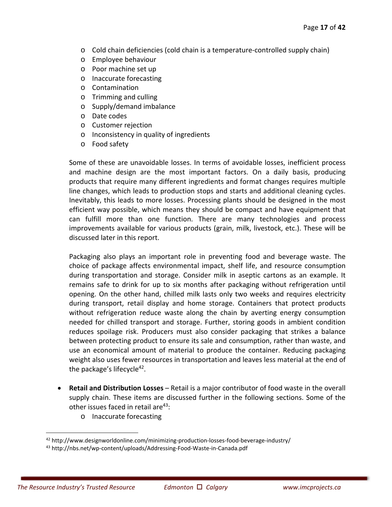- o Cold chain deficiencies (cold chain is a temperature‐controlled supply chain)
- o Employee behaviour
- o Poor machine set up
- o Inaccurate forecasting
- o Contamination
- o Trimming and culling
- o Supply/demand imbalance
- o Date codes
- o Customer rejection
- o Inconsistency in quality of ingredients
- o Food safety

Some of these are unavoidable losses. In terms of avoidable losses, inefficient process and machine design are the most important factors. On a daily basis, producing products that require many different ingredients and format changes requires multiple line changes, which leads to production stops and starts and additional cleaning cycles. Inevitably, this leads to more losses. Processing plants should be designed in the most efficient way possible, which means they should be compact and have equipment that can fulfill more than one function. There are many technologies and process improvements available for various products (grain, milk, livestock, etc.). These will be discussed later in this report.

Packaging also plays an important role in preventing food and beverage waste. The choice of package affects environmental impact, shelf life, and resource consumption during transportation and storage. Consider milk in aseptic cartons as an example. It remains safe to drink for up to six months after packaging without refrigeration until opening. On the other hand, chilled milk lasts only two weeks and requires electricity during transport, retail display and home storage. Containers that protect products without refrigeration reduce waste along the chain by averting energy consumption needed for chilled transport and storage. Further, storing goods in ambient condition reduces spoilage risk. Producers must also consider packaging that strikes a balance between protecting product to ensure its sale and consumption, rather than waste, and use an economical amount of material to produce the container. Reducing packaging weight also uses fewer resources in transportation and leaves less material at the end of the package's lifecycle<sup>42</sup>.

- **Retail and Distribution Losses** Retail is a major contributor of food waste in the overall supply chain. These items are discussed further in the following sections. Some of the other issues faced in retail are $43$ :
	- o Inaccurate forecasting

<u>.</u>

<sup>42</sup> http://www.designworldonline.com/minimizing-production-losses-food-beverage-industry/

<sup>43</sup> http://nbs.net/wp‐content/uploads/Addressing‐Food‐Waste‐in‐Canada.pdf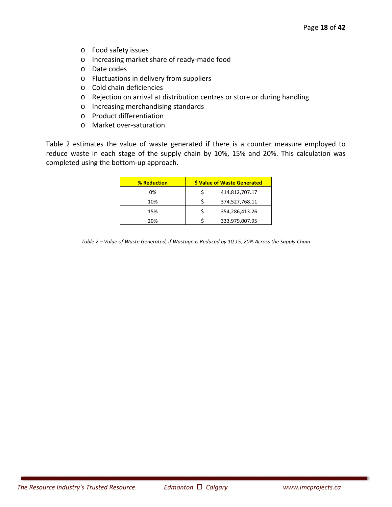- o Food safety issues
- o Increasing market share of ready‐made food
- o Date codes
- o Fluctuations in delivery from suppliers
- o Cold chain deficiencies
- o Rejection on arrival at distribution centres or store or during handling
- o Increasing merchandising standards
- o Product differentiation
- o Market over‐saturation

Table 2 estimates the value of waste generated if there is a counter measure employed to reduce waste in each stage of the supply chain by 10%, 15% and 20%. This calculation was completed using the bottom‐up approach.

| <b>% Reduction</b> | \$ Value of Waste Generated |                |  |  |  |
|--------------------|-----------------------------|----------------|--|--|--|
| 0%                 |                             | 414,812,707.17 |  |  |  |
| 10%                |                             | 374,527,768.11 |  |  |  |
| 15%                |                             | 354,286,413.26 |  |  |  |
| 20%                |                             | 333,979,007.95 |  |  |  |

*Table 2 – Value of Waste Generated, if Wastage is Reduced by 10,15, 20% Across the Supply Chain*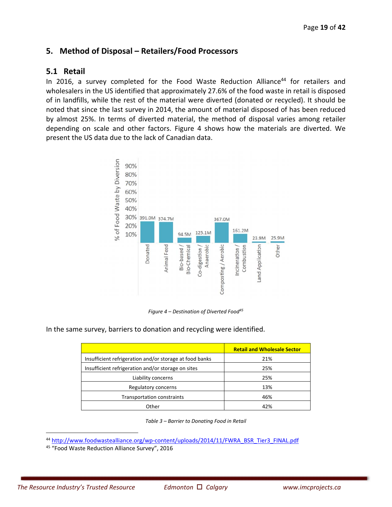# **5. Method of Disposal – Retailers/Food Processors**

# **5.1 Retail**

In 2016, a survey completed for the Food Waste Reduction Alliance<sup>44</sup> for retailers and wholesalers in the US identified that approximately 27.6% of the food waste in retail is disposed of in landfills, while the rest of the material were diverted (donated or recycled). It should be noted that since the last survey in 2014, the amount of material disposed of has been reduced by almost 25%. In terms of diverted material, the method of disposal varies among retailer depending on scale and other factors. Figure 4 shows how the materials are diverted. We present the US data due to the lack of Canadian data.



*Figure 4 – Destination of Diverted Food45*

In the same survey, barriers to donation and recycling were identified.

|                                                         | <b>Retail and Wholesale Sector</b> |
|---------------------------------------------------------|------------------------------------|
| Insufficient refrigeration and/or storage at food banks | 21%                                |
| Insufficient refrigeration and/or storage on sites      | 25%                                |
| Liability concerns                                      | 25%                                |
| Regulatory concerns                                     | 13%                                |
| <b>Transportation constraints</b>                       | 46%                                |
| Other                                                   | 42%                                |

*Table 3 – Barrier to Donating Food in Retail*

44 http://www.foodwastealliance.org/wp-content/uploads/2014/11/FWRA\_BSR\_Tier3\_FINAL.pdf

45 "Food Waste Reduction Alliance Survey", 2016

<u>.</u>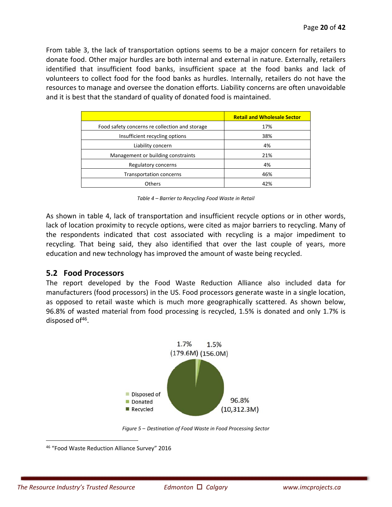From table 3, the lack of transportation options seems to be a major concern for retailers to donate food. Other major hurdles are both internal and external in nature. Externally, retailers identified that insufficient food banks, insufficient space at the food banks and lack of volunteers to collect food for the food banks as hurdles. Internally, retailers do not have the resources to manage and oversee the donation efforts. Liability concerns are often unavoidable and it is best that the standard of quality of donated food is maintained.

|                                                | <b>Retail and Wholesale Sector</b> |
|------------------------------------------------|------------------------------------|
| Food safety concerns re collection and storage | 17%                                |
| Insufficient recycling options                 | 38%                                |
| Liability concern                              | 4%                                 |
| Management or building constraints             | 21%                                |
| Regulatory concerns                            | 4%                                 |
| <b>Transportation concerns</b>                 | 46%                                |
| <b>Others</b>                                  | 42%                                |

*Table 4 – Barrier to Recycling Food Waste in Retail* 

As shown in table 4, lack of transportation and insufficient recycle options or in other words, lack of location proximity to recycle options, were cited as major barriers to recycling. Many of the respondents indicated that cost associated with recycling is a major impediment to recycling. That being said, they also identified that over the last couple of years, more education and new technology has improved the amount of waste being recycled.

# **5.2 Food Processors**

The report developed by the Food Waste Reduction Alliance also included data for manufacturers (food processors) in the US. Food processors generate waste in a single location, as opposed to retail waste which is much more geographically scattered. As shown below, 96.8% of wasted material from food processing is recycled, 1.5% is donated and only 1.7% is disposed of $46$ .



*Figure 5 – Destination of Food Waste in Food Processing Sector* 

 $\overline{a}$ 

<sup>46 &</sup>quot;Food Waste Reduction Alliance Survey" 2016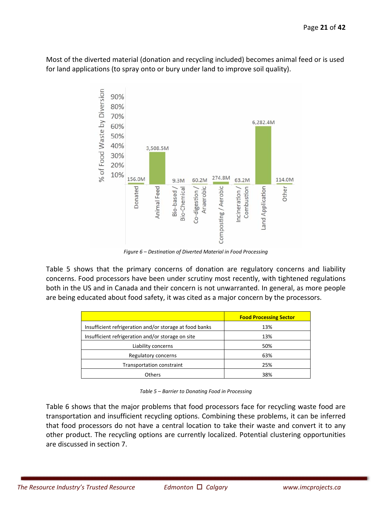Most of the diverted material (donation and recycling included) becomes animal feed or is used for land applications (to spray onto or bury under land to improve soil quality).



*Figure 6 – Destination of Diverted Material in Food Processing* 

Table 5 shows that the primary concerns of donation are regulatory concerns and liability concerns. Food processors have been under scrutiny most recently, with tightened regulations both in the US and in Canada and their concern is not unwarranted. In general, as more people are being educated about food safety, it was cited as a major concern by the processors.

|                                                         | <b>Food Processing Sector</b> |
|---------------------------------------------------------|-------------------------------|
| Insufficient refrigeration and/or storage at food banks | 13%                           |
| Insufficient refrigeration and/or storage on site       | 13%                           |
| Liability concerns                                      | 50%                           |
| Regulatory concerns                                     | 63%                           |
| Transportation constraint                               | 25%                           |
| <b>Others</b>                                           | 38%                           |

*Table 5 – Barrier to Donating Food in Processing* 

Table 6 shows that the major problems that food processors face for recycling waste food are transportation and insufficient recycling options. Combining these problems, it can be inferred that food processors do not have a central location to take their waste and convert it to any other product. The recycling options are currently localized. Potential clustering opportunities are discussed in section 7.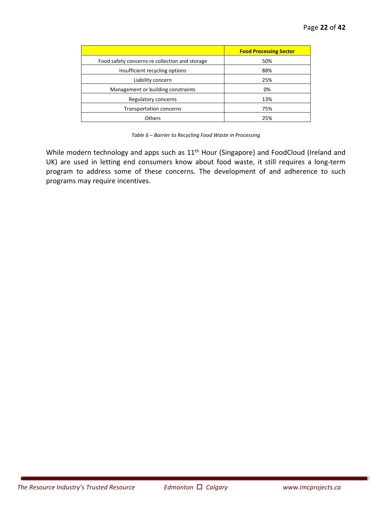|                                                | <b>Food Processing Sector</b> |
|------------------------------------------------|-------------------------------|
| Food safety concerns re collection and storage | 50%                           |
| Insufficient recycling options                 | 88%                           |
| Liability concern                              | 25%                           |
| Management or building constraints             | 0%                            |
| Regulatory concerns                            | 13%                           |
| Transportation concerns                        | 75%                           |
| <b>Others</b>                                  | 25%                           |

*Table 6 – Barrier to Recycling Food Waste in Processing* 

While modern technology and apps such as 11<sup>th</sup> Hour (Singapore) and FoodCloud (Ireland and UK) are used in letting end consumers know about food waste, it still requires a long-term program to address some of these concerns. The development of and adherence to such programs may require incentives.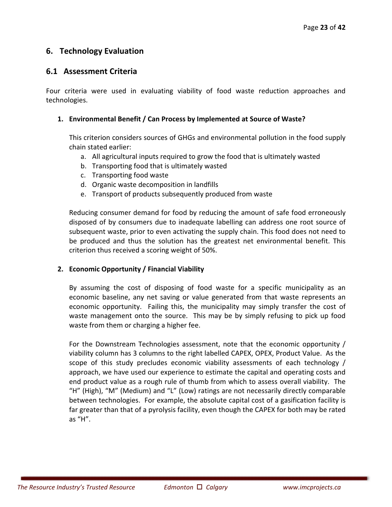# **6. Technology Evaluation**

# **6.1 Assessment Criteria**

Four criteria were used in evaluating viability of food waste reduction approaches and technologies.

#### **1. Environmental Benefit / Can Process by Implemented at Source of Waste?**

This criterion considers sources of GHGs and environmental pollution in the food supply chain stated earlier:

- a. All agricultural inputs required to grow the food that is ultimately wasted
- b. Transporting food that is ultimately wasted
- c. Transporting food waste
- d. Organic waste decomposition in landfills
- e. Transport of products subsequently produced from waste

Reducing consumer demand for food by reducing the amount of safe food erroneously disposed of by consumers due to inadequate labelling can address one root source of subsequent waste, prior to even activating the supply chain. This food does not need to be produced and thus the solution has the greatest net environmental benefit. This criterion thus received a scoring weight of 50%.

#### **2. Economic Opportunity / Financial Viability**

By assuming the cost of disposing of food waste for a specific municipality as an economic baseline, any net saving or value generated from that waste represents an economic opportunity. Failing this, the municipality may simply transfer the cost of waste management onto the source. This may be by simply refusing to pick up food waste from them or charging a higher fee.

For the Downstream Technologies assessment, note that the economic opportunity / viability column has 3 columns to the right labelled CAPEX, OPEX, Product Value. As the scope of this study precludes economic viability assessments of each technology / approach, we have used our experience to estimate the capital and operating costs and end product value as a rough rule of thumb from which to assess overall viability. The "H" (High), "M" (Medium) and "L" (Low) ratings are not necessarily directly comparable between technologies. For example, the absolute capital cost of a gasification facility is far greater than that of a pyrolysis facility, even though the CAPEX for both may be rated as "H".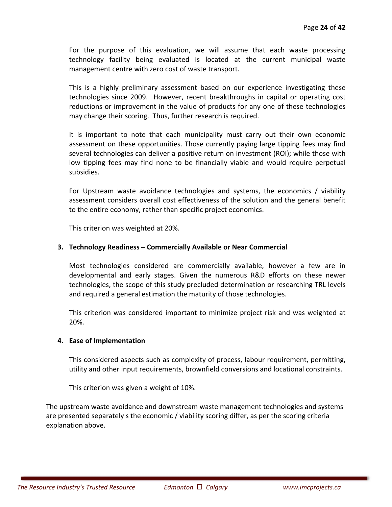For the purpose of this evaluation, we will assume that each waste processing technology facility being evaluated is located at the current municipal waste management centre with zero cost of waste transport.

This is a highly preliminary assessment based on our experience investigating these technologies since 2009. However, recent breakthroughs in capital or operating cost reductions or improvement in the value of products for any one of these technologies may change their scoring. Thus, further research is required.

It is important to note that each municipality must carry out their own economic assessment on these opportunities. Those currently paying large tipping fees may find several technologies can deliver a positive return on investment (ROI); while those with low tipping fees may find none to be financially viable and would require perpetual subsidies.

For Upstream waste avoidance technologies and systems, the economics / viability assessment considers overall cost effectiveness of the solution and the general benefit to the entire economy, rather than specific project economics.

This criterion was weighted at 20%.

#### **3. Technology Readiness – Commercially Available or Near Commercial**

Most technologies considered are commercially available, however a few are in developmental and early stages. Given the numerous R&D efforts on these newer technologies, the scope of this study precluded determination or researching TRL levels and required a general estimation the maturity of those technologies.

This criterion was considered important to minimize project risk and was weighted at 20%.

#### **4. Ease of Implementation**

This considered aspects such as complexity of process, labour requirement, permitting, utility and other input requirements, brownfield conversions and locational constraints.

This criterion was given a weight of 10%.

The upstream waste avoidance and downstream waste management technologies and systems are presented separately s the economic / viability scoring differ, as per the scoring criteria explanation above.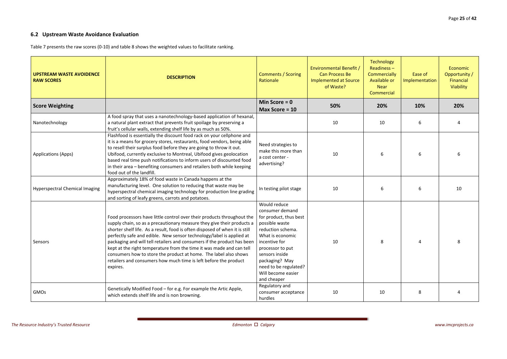# **6.2 Upstream Waste Avoidance Evaluation**

Table 7 presents the raw scores (0-10) and table 8 shows the weighted values to facilitate ranking.

| <b>UPSTREAM WASTE AVOIDENCE</b><br><b>RAW SCORES</b> | <b>DESCRIPTION</b>                                                                                                                                                                                                                                                                                                                                                                                                                                                                                                                                                                                             | <b>Comments / Scoring</b><br>Rationale                                                                                                                                                                                                                      | Environmental Benefit /<br><b>Can Process Be</b><br><b>Implemented at Source</b><br>of Waste? | <b>Technology</b><br>Readiness $-$<br>Commercially<br>Available or<br><b>Near</b><br>Commercial | Ease of<br>Implementation | <b>Economic</b><br>Opportunity /<br>Financial<br>Viability |
|------------------------------------------------------|----------------------------------------------------------------------------------------------------------------------------------------------------------------------------------------------------------------------------------------------------------------------------------------------------------------------------------------------------------------------------------------------------------------------------------------------------------------------------------------------------------------------------------------------------------------------------------------------------------------|-------------------------------------------------------------------------------------------------------------------------------------------------------------------------------------------------------------------------------------------------------------|-----------------------------------------------------------------------------------------------|-------------------------------------------------------------------------------------------------|---------------------------|------------------------------------------------------------|
| <b>Score Weighting</b>                               |                                                                                                                                                                                                                                                                                                                                                                                                                                                                                                                                                                                                                | Min Score = $0$<br>Max Score = $10$                                                                                                                                                                                                                         | 50%                                                                                           | 20%                                                                                             | 10%                       | 20%                                                        |
| Nanotechnology                                       | A food spray that uses a nanotechnology-based application of hexanal,<br>a natural plant extract that prevents fruit spoilage by preserving a<br>fruit's cellular walls, extending shelf life by as much as 50%.                                                                                                                                                                                                                                                                                                                                                                                               |                                                                                                                                                                                                                                                             | 10                                                                                            | 10                                                                                              | 6                         |                                                            |
| <b>Applications (Apps)</b>                           | Flashfood is essentially the discount food rack on your cellphone and<br>it is a means for grocery stores, restaurants, food vendors, being able<br>to resell their surplus food before they are going to throw it out.<br>Ubifood, currently exclusive to Montreal, Ubifood gives geolocation<br>based real time push notifications to inform users of discounted food<br>in their area - benefiting consumers and retailers both while keeping<br>food out of the landfill.                                                                                                                                  | Need strategies to<br>make this more than<br>a cost center -<br>advertising?                                                                                                                                                                                | 10                                                                                            | 6                                                                                               | 6                         |                                                            |
| <b>Hyperspectral Chemical Imaging</b>                | Approximately 18% of food waste in Canada happens at the<br>manufacturing level. One solution to reducing that waste may be<br>hyperspectral chemical imaging technology for production line grading<br>and sorting of leafy greens, carrots and potatoes.                                                                                                                                                                                                                                                                                                                                                     | In testing pilot stage                                                                                                                                                                                                                                      | 10                                                                                            | 6                                                                                               | 6                         | 10                                                         |
| Sensors                                              | Food processors have little control over their products throughout the<br>supply chain, so as a precautionary measure they give their products a<br>shorter shelf life. As a result, food is often disposed of when it is still<br>perfectly safe and edible. New sensor technology/label is applied at<br>packaging and will tell retailers and consumers if the product has been<br>kept at the right temperature from the time it was made and can tell<br>consumers how to store the product at home. The label also shows<br>retailers and consumers how much time is left before the product<br>expires. | Would reduce<br>consumer demand<br>for product, thus best<br>possible waste<br>reduction schema.<br>What is economic<br>incentive for<br>processor to put<br>sensors inside<br>packaging? May<br>need to be regulated?<br>Will become easier<br>and cheaper | 10                                                                                            | 8                                                                                               |                           | 8                                                          |
| GMOs                                                 | Genetically Modified Food - for e.g. For example the Artic Apple,<br>which extends shelf life and is non browning.                                                                                                                                                                                                                                                                                                                                                                                                                                                                                             | Regulatory and<br>consumer acceptance<br>hurdles                                                                                                                                                                                                            | 10                                                                                            | 10                                                                                              | 8                         |                                                            |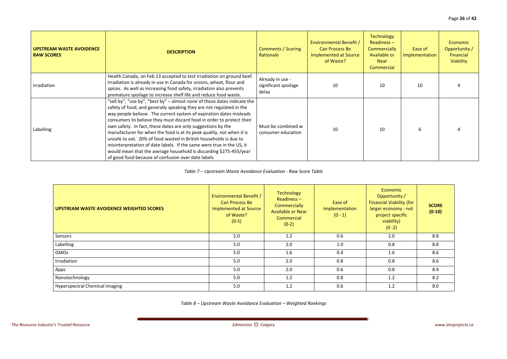| <b>UPSTREAM WASTE AVOIDENCE</b><br><b>RAW SCORES</b> | <b>DESCRIPTION</b>                                                                                                                                                                                                                                                                                                                                                                                                                                                                                                                                                                                                                                                                                                  | <b>Comments / Scoring</b><br>Rationale            | <b>Environmental Benefit /</b><br>Can Process Be<br><b>Implemented at Source</b><br>of Waste? | <b>Technology</b><br>$Readiness -$<br>Commercially<br>Available or<br><b>Near</b><br>Commercial | Ease of<br>Implementation | Economic<br>Opportunity /<br>Financial<br>Viability |
|------------------------------------------------------|---------------------------------------------------------------------------------------------------------------------------------------------------------------------------------------------------------------------------------------------------------------------------------------------------------------------------------------------------------------------------------------------------------------------------------------------------------------------------------------------------------------------------------------------------------------------------------------------------------------------------------------------------------------------------------------------------------------------|---------------------------------------------------|-----------------------------------------------------------------------------------------------|-------------------------------------------------------------------------------------------------|---------------------------|-----------------------------------------------------|
| Irradiation                                          | Health Canada, on Feb 13 accepted to test irradiation on ground beef.<br>Irradiation is already in use in Canada for onions, wheat, flour and<br>spices. As well as increasing food safety, irradiation also prevents<br>premature spoilage to increase shelf life and reduce food waste.                                                                                                                                                                                                                                                                                                                                                                                                                           | Already in use -<br>significant spoilage<br>delay | 10                                                                                            | 10                                                                                              | 10                        |                                                     |
| Labelling                                            | "sell by", "use by", "best by" - almost none of those dates indicate the<br>safety of food, and generally speaking they are not regulated in the<br>way people believe. The current system of expiration dates misleads<br>consumers to believe they must discard food in order to protect their<br>own safety. In fact, these dates are only suggestions by the<br>manufacturer for when the food is at its peak quality, not when it is<br>unsafe to eat. 20% of food wasted in British households is due to<br>misinterpretation of date labels. If the same were true in the US, it<br>would mean that the average household is discarding \$275-455/year<br>of good food because of confusion over date labels | Must be combined w<br>consumer education          | 10                                                                                            | 10                                                                                              |                           |                                                     |

*Table 7 – Upstream Waste Avoidance Evaluation ‐ Raw Score Table*

| UPSTREAM WASTE AVOIDENCE WEIGHTED SCORES | Environmental Benefit /<br>Can Process Be<br>Implemented at Source<br>of Waste?<br>$(0-5)$ | <b>Technology</b><br>Readiness $-$<br><b>Commercially</b><br><b>Available or Near</b><br>Commercial<br>$(0-2)$ | Ease of<br>Implementation<br>$(0 - 1)$ | Economic<br>Opportunity /<br><b>Financial Viability (for</b><br>larger economy - not<br>project specific<br>viability)<br>$(0 - 2)$ | <b>SCORE</b><br>$(0-10)$ |
|------------------------------------------|--------------------------------------------------------------------------------------------|----------------------------------------------------------------------------------------------------------------|----------------------------------------|-------------------------------------------------------------------------------------------------------------------------------------|--------------------------|
| Sensors                                  | 5.0                                                                                        | 1.2                                                                                                            | 0.6                                    | 2.0                                                                                                                                 | 8.8                      |
| Labelling                                | 5.0                                                                                        | 2.0                                                                                                            | 1.0                                    | 0.8                                                                                                                                 | 8.8                      |
| GMOs                                     | 5.0                                                                                        | 1.6                                                                                                            | 0.4                                    | 1.6                                                                                                                                 | 8.6                      |
| Irradiation                              | 5.0                                                                                        | 2.0                                                                                                            | 0.8                                    | 0.8                                                                                                                                 | 8.6                      |
| Apps                                     | 5.0                                                                                        | 2.0                                                                                                            | 0.6                                    | 0.8                                                                                                                                 | 8.4                      |
| Nanotechnology                           | 5.0                                                                                        | 1.2                                                                                                            | 0.8                                    | 1.2                                                                                                                                 | 8.2                      |
| <b>Hyperspectral Chemical Imaging</b>    | 5.0                                                                                        | 1.2                                                                                                            | 0.6                                    | 1.2                                                                                                                                 | 8.0                      |

*Table 8 – Upstream Waste Avoidance Evaluation – Weighted Rankings*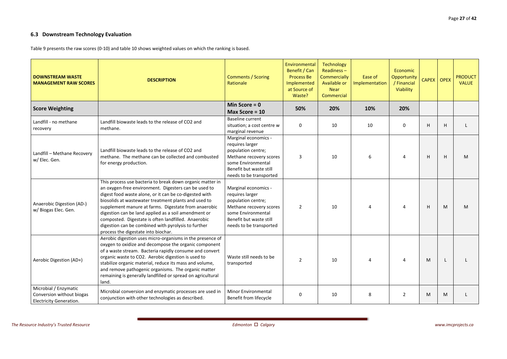# **6.3 Downstream Technology Evaluation**

Table 9 presents the raw scores (0‐10) and table 10 shows weighted values on which the ranking is based.

| <b>DOWNSTREAM WASTE</b><br><b>MANAGEMENT RAW SCORES</b>                              | <b>DESCRIPTION</b>                                                                                                                                                                                                                                                                                                                                                                                                                                                                                       | <b>Comments / Scoring</b><br>Rationale                                                                                                                               | Environmental<br>Benefit / Can<br><b>Process Be</b><br>Implemented<br>at Source of<br>Waste? | Technology<br>$Readiness -$<br>Commercially<br>Available or<br><b>Near</b><br>Commercial | Ease of<br>Implementation | Economic<br><b>Opportunity</b><br>/ Financial<br>Viability | CAPEX OPEX |   | <b>PRODUCT</b><br><b>VALUE</b> |
|--------------------------------------------------------------------------------------|----------------------------------------------------------------------------------------------------------------------------------------------------------------------------------------------------------------------------------------------------------------------------------------------------------------------------------------------------------------------------------------------------------------------------------------------------------------------------------------------------------|----------------------------------------------------------------------------------------------------------------------------------------------------------------------|----------------------------------------------------------------------------------------------|------------------------------------------------------------------------------------------|---------------------------|------------------------------------------------------------|------------|---|--------------------------------|
| <b>Score Weighting</b>                                                               |                                                                                                                                                                                                                                                                                                                                                                                                                                                                                                          | Min Score = $0$<br>Max Score = 10                                                                                                                                    | 50%                                                                                          | 20%                                                                                      | 10%                       | 20%                                                        |            |   |                                |
| Landfill - no methane<br>recovery                                                    | Landfill biowaste leads to the release of CO2 and<br>methane.                                                                                                                                                                                                                                                                                                                                                                                                                                            | <b>Baseline current</b><br>situation; a cost centre w<br>marginal revenue                                                                                            | 0                                                                                            | 10                                                                                       | 10                        | 0                                                          | H          | H |                                |
| Landfill - Methane Recovery<br>w/ Elec. Gen.                                         | Landfill biowaste leads to the release of CO2 and<br>methane. The methane can be collected and combusted<br>for energy production.                                                                                                                                                                                                                                                                                                                                                                       | Marginal economics -<br>requires larger<br>population centre;<br>Methane recovery scores<br>some Environmental<br>Benefit but waste still<br>needs to be transported | 3                                                                                            | 10                                                                                       | 6                         | 4                                                          | H          | H | M                              |
| Anaerobic Digestion (AD-)<br>w/ Biogas Elec. Gen.                                    | This process use bacteria to break down organic matter in<br>an oxygen-free environment. Digesters can be used to<br>digest food waste alone, or it can be co-digested with<br>biosolids at wastewater treatment plants and used to<br>supplement manure at farms. Digestate from anaerobic<br>digestion can be land applied as a soil amendment or<br>composted. Digestate is often landfilled. Anaerobic<br>digestion can be combined with pyrolysis to further<br>process the digestate into biochar. | Marginal economics -<br>requires larger<br>population centre;<br>Methane recovery scores<br>some Environmental<br>Benefit but waste still<br>needs to be transported | $\overline{2}$                                                                               | 10                                                                                       | Δ                         | 4                                                          | H          | M | M                              |
| Aerobic Digestion (AD+)                                                              | Aerobic digestion uses micro-organisms in the presence of<br>oxygen to oxidize and decompose the organic component<br>of a waste stream. Bacteria rapidly consume and convert<br>organic waste to CO2. Aerobic digestion is used to<br>stabilize organic material, reduce its mass and volume,<br>and remove pathogenic organisms. The organic matter<br>remaining is generally landfilled or spread on agricultural<br>land.                                                                            | Waste still needs to be<br>transported                                                                                                                               | $\overline{2}$                                                                               | 10                                                                                       | 4                         | 4                                                          | M          |   |                                |
| Microbial / Enzymatic<br>Conversion without biogas<br><b>Electricity Generation.</b> | Microbial conversion and enzymatic processes are used in<br>conjunction with other technologies as described.                                                                                                                                                                                                                                                                                                                                                                                            | <b>Minor Environmental</b><br>Benefit from lifecycle                                                                                                                 | 0                                                                                            | 10                                                                                       | 8                         | $\overline{2}$                                             | M          | M |                                |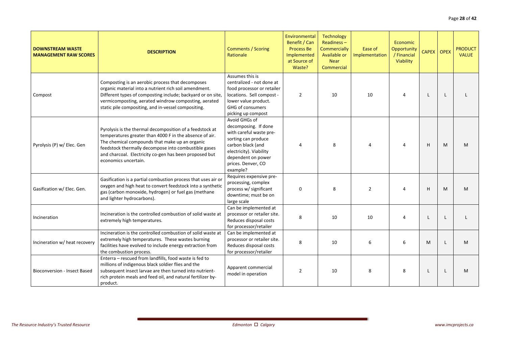| <b>DOWNSTREAM WASTE</b><br><b>MANAGEMENT RAW SCORES</b> | <b>DESCRIPTION</b>                                                                                                                                                                                                                                                                                              | <b>Comments / Scoring</b><br>Rationale                                                                                                                                                          | Environmental<br>Benefit / Can<br><b>Process Be</b><br>Implemented<br>at Source of<br>Waste? | <b>Technology</b><br>$Readiness -$<br>Commercially<br>Available or<br><b>Near</b><br>Commercial | Ease of<br>Implementation | Economic<br>Opportunity<br>/ Financial<br>Viability | CAPEX OPEX |   | <b>PRODUCT</b><br><b>VALUE</b> |
|---------------------------------------------------------|-----------------------------------------------------------------------------------------------------------------------------------------------------------------------------------------------------------------------------------------------------------------------------------------------------------------|-------------------------------------------------------------------------------------------------------------------------------------------------------------------------------------------------|----------------------------------------------------------------------------------------------|-------------------------------------------------------------------------------------------------|---------------------------|-----------------------------------------------------|------------|---|--------------------------------|
| Compost                                                 | Composting is an aerobic process that decomposes<br>organic material into a nutrient rich soil amendment.<br>Different types of composting include; backyard or on site<br>vermicomposting, aerated windrow composting, aerated<br>static pile compositing, and in-vessel compositing.                          | Assumes this is<br>centralized - not done at<br>food processor or retailer<br>locations. Sell compost -<br>lower value product.<br><b>GHG of consumers</b><br>picking up compost                | 2                                                                                            | 10                                                                                              | 10                        |                                                     |            |   |                                |
| Pyrolysis (P) w/ Elec. Gen                              | Pyrolysis is the thermal decomposition of a feedstock at<br>temperatures greater than 4000 F in the absence of air.<br>The chemical compounds that make up an organic<br>feedstock thermally decompose into combustible gases<br>and charcoal. Electricity co-gen has been proposed but<br>economics uncertain. | Avoid GHGs of<br>decomposing. If done<br>with careful waste pre-<br>sorting can produce<br>carbon black (and<br>electricity). Viability<br>dependent on power<br>prices. Denver, CO<br>example? |                                                                                              | 8                                                                                               |                           |                                                     | H          | M | M                              |
| Gasification w/ Elec. Gen.                              | Gasification is a partial combustion process that uses air or<br>oxygen and high heat to convert feedstock into a synthetic<br>gas (carbon monoxide, hydrogen) or fuel gas (methane<br>and lighter hydrocarbons).                                                                                               | Requires expensive pre-<br>processing, complex<br>process w/ significant<br>downtime; must be on<br>large scale                                                                                 | 0                                                                                            | 8                                                                                               | $\overline{2}$            |                                                     | H          | M | M                              |
| Incineration                                            | Incineration is the controlled combustion of solid waste at<br>extremely high temperatures.                                                                                                                                                                                                                     | Can be implemented at<br>processor or retailer site.<br>Reduces disposal costs<br>for processor/retailer                                                                                        | 8                                                                                            | 10                                                                                              | 10                        |                                                     |            |   |                                |
| Incineration w/ heat recovery                           | Incineration is the controlled combustion of solid waste at<br>extremely high temperatures. These wastes burning<br>facilities have evolved to include energy extraction from<br>the combustion process.                                                                                                        | Can be implemented at<br>processor or retailer site.<br>Reduces disposal costs<br>for processor/retailer                                                                                        | 8                                                                                            | 10                                                                                              | 6                         | 6                                                   | M          |   | M                              |
| <b>Bioconversion - Insect Based</b>                     | Enterra - rescued from landfills, food waste is fed to<br>millions of indigenous black soldier flies and the<br>subsequent insect larvae are then turned into nutrient-<br>rich protein meals and feed oil, and natural fertilizer by-<br>product.                                                              | Apparent commercial<br>model in operation                                                                                                                                                       | 2                                                                                            | 10                                                                                              | 8                         | 8                                                   |            |   | M                              |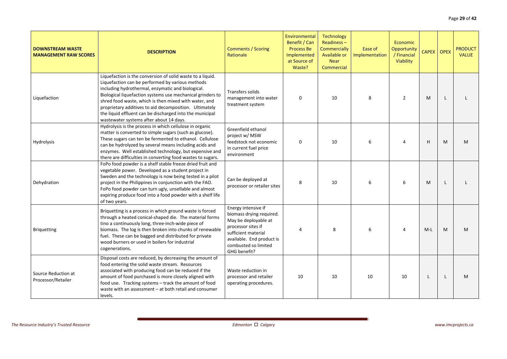| <b>DOWNSTREAM WASTE</b><br><b>MANAGEMENT RAW SCORES</b> | <b>DESCRIPTION</b>                                                                                                                                                                                                                                                                                                                                                                                                                                          | <b>Comments / Scoring</b><br>Rationale                                                                                                                                                    | Environmental<br>Benefit / Can<br><b>Process Be</b><br>Implemented<br>at Source of<br>Waste? | <b>Technology</b><br>$Readiness -$<br>Commercially<br>Available or<br><b>Near</b><br>Commercial | Ease of<br>Implementation | Economic<br>Opportunity<br>/ Financial<br>Viability | <b>CAPEX</b> | <b>OPEX</b> | <b>PRODUCT</b><br><b>VALUE</b> |
|---------------------------------------------------------|-------------------------------------------------------------------------------------------------------------------------------------------------------------------------------------------------------------------------------------------------------------------------------------------------------------------------------------------------------------------------------------------------------------------------------------------------------------|-------------------------------------------------------------------------------------------------------------------------------------------------------------------------------------------|----------------------------------------------------------------------------------------------|-------------------------------------------------------------------------------------------------|---------------------------|-----------------------------------------------------|--------------|-------------|--------------------------------|
| Liquefaction                                            | Liquefaction is the conversion of solid waste to a liquid.<br>Liquefaction can be performed by various methods<br>including hydrothermal, enzymatic and biological.<br>Biological liquefaction systems use mechanical grinders to<br>shred food waste, which is then mixed with water, and<br>proprietary additives to aid decomposition. Ultimately<br>the liquid effluent can be discharged into the municipal<br>wastewater systems after about 14 days. | Transfers solids<br>management into water<br>treatment system                                                                                                                             | $\Omega$                                                                                     | 10                                                                                              | 8                         | $\overline{2}$                                      | M            |             |                                |
| Hydrolysis                                              | Hydrolysis is the process in which cellulose in organic<br>matter is converted to simple sugars (such as glucose).<br>These sugars can ten be fermented to ethanol. Cellulose<br>can be hydrolyzed by several means including acids and<br>enzymes. Well established technology, but expensive and<br>there are difficulties in converting food wastes to sugars.                                                                                           | Greenfield ethanol<br>project w/ MSW<br>feedstock not economic<br>in current fuel price<br>environment                                                                                    | $\mathbf 0$                                                                                  | 10                                                                                              | 6                         |                                                     | H            | M           | M                              |
| Dehydration                                             | FoPo food powder is a shelf stable freeze dried fruit and<br>vegetable power. Developed as a student project in<br>Sweden and the technology is now being tested in a pilot<br>project in the Philippines in conjunction with the FAO.<br>FoPo food powder can turn ugly, unsellable and almost<br>expiring produce food into a food powder with a shelf life<br>of two years.                                                                              | Can be deployed at<br>processor or retailer sites                                                                                                                                         | 8                                                                                            | 10                                                                                              | 6                         | 6                                                   | M            |             |                                |
| <b>Briquetting</b>                                      | Briquetting is a process in which ground waste is forced<br>through a heated conical-shaped die. The material forms<br>tino a continuously long, three-inch-wide piece of<br>biomass. The log is then broken into chunks of renewable<br>fuel. These can be bagged and distributed for private<br>wood burners or used in boilers for industrial<br>cogenerations.                                                                                          | Energy intensive if<br>biomass drying required.<br>May be deployable at<br>processor sites if<br>sufficient material<br>available. End product is<br>combusted so limited<br>GHG benefit? |                                                                                              | 8                                                                                               | 6                         | 4                                                   | $M-L$        | M           | M                              |
| Source Reduction at<br>Processor/Retailer               | Disposal costs are reduced, by decreasing the amount of<br>food entering the solid waste stream. Resources<br>associated with producing food can be reduced if the<br>amount of food purchased is more closely aligned with<br>food use. Tracking systems - track the amount of food<br>waste with an assessment $-$ at both retail and consumer<br>levels.                                                                                                 | Waste reduction in<br>processor and retailer<br>operating procedures.                                                                                                                     | 10                                                                                           | 10                                                                                              | 10                        | 10                                                  |              |             | M                              |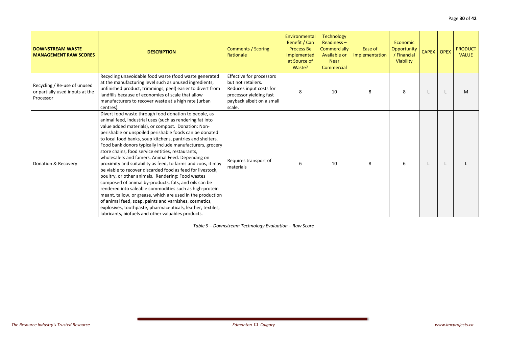| <b>DOWNSTREAM WASTE</b><br><b>MANAGEMENT RAW SCORES</b>                      | <b>DESCRIPTION</b>                                                                                                                                                                                                                                                                                                                                                                                                                                                                                                                                                                                                                                                                                                                                                                                                                                                                                                                                                                                                          | <b>Comments / Scoring</b><br>Rationale                                                                                                      | Environmental<br>Benefit / Can<br><b>Process Be</b><br>Implemented<br>at Source of<br>Waste? | <b>Technology</b><br>$Readiness -$<br>Commercially<br>Available or<br><b>Near</b><br>Commercial | Ease of<br>Implementation | Economic<br>Opportunity<br>/ Financial<br>Viability | CAPEX OPEX | <b>PRODUCT</b><br><b>VALUE</b> |
|------------------------------------------------------------------------------|-----------------------------------------------------------------------------------------------------------------------------------------------------------------------------------------------------------------------------------------------------------------------------------------------------------------------------------------------------------------------------------------------------------------------------------------------------------------------------------------------------------------------------------------------------------------------------------------------------------------------------------------------------------------------------------------------------------------------------------------------------------------------------------------------------------------------------------------------------------------------------------------------------------------------------------------------------------------------------------------------------------------------------|---------------------------------------------------------------------------------------------------------------------------------------------|----------------------------------------------------------------------------------------------|-------------------------------------------------------------------------------------------------|---------------------------|-----------------------------------------------------|------------|--------------------------------|
| Recycling / Re-use of unused<br>or partially used inputs at the<br>Processor | Recycling unavoidable food waste (food waste generated<br>at the manufacturing level such as unused ingredients,<br>unfinished product, trimmings, peel) easier to divert from<br>landfills because of economies of scale that allow<br>manufacturers to recover waste at a high rate (urban<br>centres).                                                                                                                                                                                                                                                                                                                                                                                                                                                                                                                                                                                                                                                                                                                   | Effective for processors<br>but not retailers.<br>Reduces input costs for<br>processor yielding fast<br>payback albeit on a small<br>scale. | 8                                                                                            | 10                                                                                              | 8                         | 8                                                   |            | M                              |
| Donation & Recovery                                                          | Divert food waste through food donation to people, as<br>animal feed, industrial uses (such as rendering fat into<br>value added materials), or compost. Donation: Non-<br>perishable or unspoiled perishable foods can be donated<br>to local food banks, soup kitchens, pantries and shelters.<br>Food bank donors typically include manufacturers, grocery<br>store chains, food service entities, restaurants,<br>wholesalers and famers. Animal Feed: Depending on<br>proximity and suitability as feed, to farms and zoos, it may<br>be viable to recover discarded food as feed for livestock,<br>poultry, or other animals. Rendering: Food wastes<br>composed of animal by-products, fats, and oils can be<br>rendered into saleable commodities such as high-protein<br>meant, tallow, or grease, which are used in the production<br>of animal feed, soap, paints and varnishes, cosmetics,<br>explosives, toothpaste, pharmaceuticals, leather, textiles,<br>lubricants, biofuels and other valuables products. | Requires transport of<br>materials                                                                                                          | 6                                                                                            | 10                                                                                              | 8                         | 6                                                   |            |                                |

*Table 9 – Downstream Technology Evaluation – Raw Score*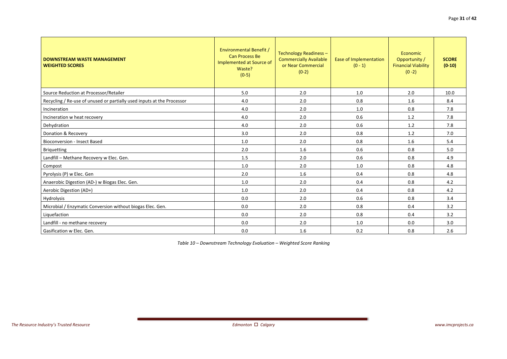| <b>DOWNSTREAM WASTE MANAGEMENT</b><br><b>WEIGHTED SCORES</b>           | Environmental Benefit /<br><b>Can Process Be</b><br>Implemented at Source of<br>Waste?<br>$(0-5)$ | Technology Readiness -<br><b>Commercially Available</b><br>or Near Commercial<br>$(0-2)$ | Ease of Implementation<br>$(0 - 1)$ | Economic<br>Opportunity /<br><b>Financial Viability</b><br>$(0 - 2)$ | <b>SCORE</b><br>$(0-10)$ |
|------------------------------------------------------------------------|---------------------------------------------------------------------------------------------------|------------------------------------------------------------------------------------------|-------------------------------------|----------------------------------------------------------------------|--------------------------|
| Source Reduction at Processor/Retailer                                 | 5.0                                                                                               | 2.0                                                                                      | 1.0                                 | 2.0                                                                  | 10.0                     |
| Recycling / Re-use of unused or partially used inputs at the Processor | 4.0                                                                                               | 2.0                                                                                      | 0.8                                 | 1.6                                                                  | 8.4                      |
| Incineration                                                           | 4.0                                                                                               | 2.0                                                                                      | 1.0                                 | 0.8                                                                  | 7.8                      |
| Incineration w heat recovery                                           | 4.0                                                                                               | 2.0                                                                                      | 0.6                                 | 1.2                                                                  | 7.8                      |
| Dehydration                                                            | 4.0                                                                                               | 2.0                                                                                      | 0.6                                 | 1.2                                                                  | 7.8                      |
| <b>Donation &amp; Recovery</b>                                         | 3.0                                                                                               | 2.0                                                                                      | 0.8                                 | 1.2                                                                  | 7.0                      |
| <b>Bioconversion - Insect Based</b>                                    | $1.0$                                                                                             | 2.0                                                                                      | 0.8                                 | 1.6                                                                  | 5.4                      |
| <b>Briquetting</b>                                                     | 2.0                                                                                               | 1.6                                                                                      | 0.6                                 | 0.8                                                                  | 5.0                      |
| Landfill - Methane Recovery w Elec. Gen.                               | 1.5                                                                                               | 2.0                                                                                      | 0.6                                 | 0.8                                                                  | 4.9                      |
| Compost                                                                | 1.0                                                                                               | 2.0                                                                                      | 1.0                                 | 0.8                                                                  | 4.8                      |
| Pyrolysis (P) w Elec. Gen                                              | 2.0                                                                                               | 1.6                                                                                      | 0.4                                 | 0.8                                                                  | 4.8                      |
| Anaerobic Digestion (AD-) w Biogas Elec. Gen.                          | 1.0                                                                                               | 2.0                                                                                      | 0.4                                 | 0.8                                                                  | 4.2                      |
| Aerobic Digestion (AD+)                                                | 1.0                                                                                               | 2.0                                                                                      | 0.4                                 | 0.8                                                                  | 4.2                      |
| Hydrolysis                                                             | 0.0                                                                                               | 2.0                                                                                      | 0.6                                 | 0.8                                                                  | 3.4                      |
| Microbial / Enzymatic Conversion without biogas Elec. Gen.             | 0.0                                                                                               | 2.0                                                                                      | 0.8                                 | 0.4                                                                  | 3.2                      |
| Liquefaction                                                           | 0.0                                                                                               | 2.0                                                                                      | 0.8                                 | 0.4                                                                  | 3.2                      |
| Landfill - no methane recovery                                         | 0.0                                                                                               | 2.0                                                                                      | 1.0                                 | 0.0                                                                  | 3.0                      |
| Gasification w Elec. Gen.                                              | 0.0                                                                                               | 1.6                                                                                      | 0.2                                 | 0.8                                                                  | 2.6                      |

*Table 10 – Downstream Technology Evaluation – Weighted Score Ranking*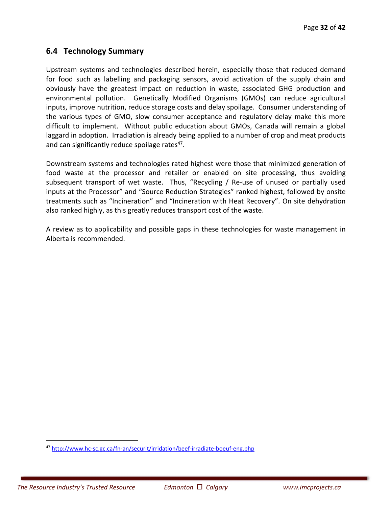# **6.4 Technology Summary**

Upstream systems and technologies described herein, especially those that reduced demand for food such as labelling and packaging sensors, avoid activation of the supply chain and obviously have the greatest impact on reduction in waste, associated GHG production and environmental pollution. Genetically Modified Organisms (GMOs) can reduce agricultural inputs, improve nutrition, reduce storage costs and delay spoilage. Consumer understanding of the various types of GMO, slow consumer acceptance and regulatory delay make this more difficult to implement. Without public education about GMOs, Canada will remain a global laggard in adoption. Irradiation is already being applied to a number of crop and meat products and can significantly reduce spoilage rates<sup>47</sup>.

Downstream systems and technologies rated highest were those that minimized generation of food waste at the processor and retailer or enabled on site processing, thus avoiding subsequent transport of wet waste. Thus, "Recycling / Re-use of unused or partially used inputs at the Processor" and "Source Reduction Strategies" ranked highest, followed by onsite treatments such as "Incineration" and "Incineration with Heat Recovery". On site dehydration also ranked highly, as this greatly reduces transport cost of the waste.

A review as to applicability and possible gaps in these technologies for waste management in Alberta is recommended.

<u>.</u>

<sup>47</sup> http://www.hc‐sc.gc.ca/fn‐an/securit/irridation/beef‐irradiate‐boeuf‐eng.php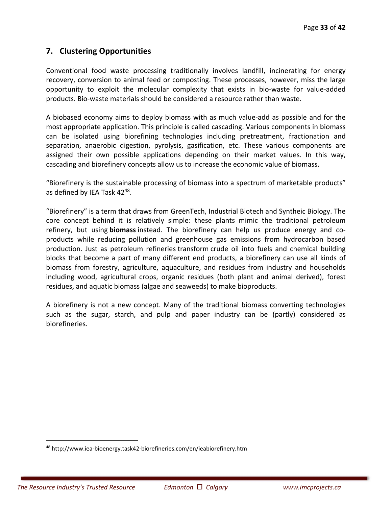# **7. Clustering Opportunities**

Conventional food waste processing traditionally involves landfill, incinerating for energy recovery, conversion to animal feed or composting. These processes, however, miss the large opportunity to exploit the molecular complexity that exists in bio‐waste for value‐added products. Bio‐waste materials should be considered a resource rather than waste.

A biobased economy aims to deploy biomass with as much value‐add as possible and for the most appropriate application. This principle is called cascading. Various components in biomass can be isolated using biorefining technologies including pretreatment, fractionation and separation, anaerobic digestion, pyrolysis, gasification, etc. These various components are assigned their own possible applications depending on their market values. In this way, cascading and biorefinery concepts allow us to increase the economic value of biomass.

"Biorefinery is the sustainable processing of biomass into a spectrum of marketable products" as defined by IEA Task 42<sup>48</sup>.

"Biorefinery" is a term that draws from GreenTech, Industrial Biotech and Syntheic Biology. The core concept behind it is relatively simple: these plants mimic the traditional petroleum refinery, but using **biomass** instead. The biorefinery can help us produce energy and co‐ products while reducing pollution and greenhouse gas emissions from hydrocarbon based production. Just as petroleum refineries transform crude oil into fuels and chemical building blocks that become a part of many different end products, a biorefinery can use all kinds of biomass from forestry, agriculture, aquaculture, and residues from industry and households including wood, agricultural crops, organic residues (both plant and animal derived), forest residues, and aquatic biomass (algae and seaweeds) to make bioproducts.

A biorefinery is not a new concept. Many of the traditional biomass converting technologies such as the sugar, starch, and pulp and paper industry can be (partly) considered as biorefineries.

<u>.</u>

<sup>48</sup> http://www.iea‐bioenergy.task42‐biorefineries.com/en/ieabiorefinery.htm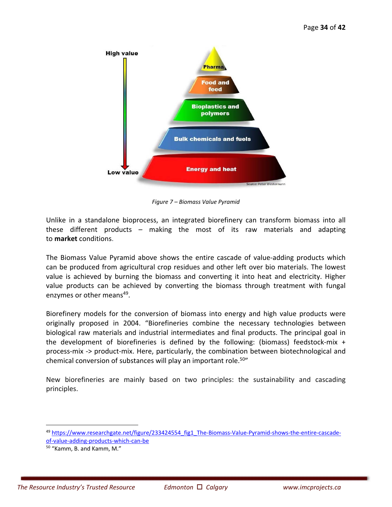

*Figure 7 – Biomass Value Pyramid* 

Unlike in a standalone bioprocess, an integrated biorefinery can transform biomass into all these different products – making the most of its raw materials and adapting to **market** conditions.

The Biomass Value Pyramid above shows the entire cascade of value-adding products which can be produced from agricultural crop residues and other left over bio materials. The lowest value is achieved by burning the biomass and converting it into heat and electricity. Higher value products can be achieved by converting the biomass through treatment with fungal enzymes or other means<sup>49</sup>.

Biorefinery models for the conversion of biomass into energy and high value products were originally proposed in 2004. "Biorefineries combine the necessary technologies between biological raw materials and industrial intermediates and final products. The principal goal in the development of biorefineries is defined by the following: (biomass) feedstock-mix  $+$ process‐mix ‐> product‐mix. Here, particularly, the combination between biotechnological and chemical conversion of substances will play an important role.<sup>50"</sup>

New biorefineries are mainly based on two principles: the sustainability and cascading principles.

 $\overline{a}$ 

<sup>49</sup> https://www.researchgate.net/figure/233424554\_fig1\_The-Biomass-Value-Pyramid-shows-the-entire-cascadeof-value-adding-products-which-can-be

<sup>50 &</sup>quot;Kamm, B. and Kamm, M."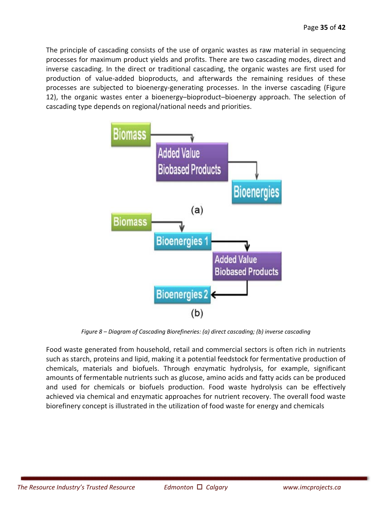The principle of cascading consists of the use of organic wastes as raw material in sequencing processes for maximum product yields and profits. There are two cascading modes, direct and inverse cascading. In the direct or traditional cascading, the organic wastes are first used for production of value‐added bioproducts, and afterwards the remaining residues of these processes are subjected to bioenergy-generating processes. In the inverse cascading (Figure 12), the organic wastes enter a bioenergy–bioproduct–bioenergy approach. The selection of cascading type depends on regional/national needs and priorities.



*Figure 8 – Diagram of Cascading Biorefineries: (a) direct cascading; (b) inverse cascading* 

Food waste generated from household, retail and commercial sectors is often rich in nutrients such as starch, proteins and lipid, making it a potential feedstock for fermentative production of chemicals, materials and biofuels. Through enzymatic hydrolysis, for example, significant amounts of fermentable nutrients such as glucose, amino acids and fatty acids can be produced and used for chemicals or biofuels production. Food waste hydrolysis can be effectively achieved via chemical and enzymatic approaches for nutrient recovery. The overall food waste biorefinery concept is illustrated in the utilization of food waste for energy and chemicals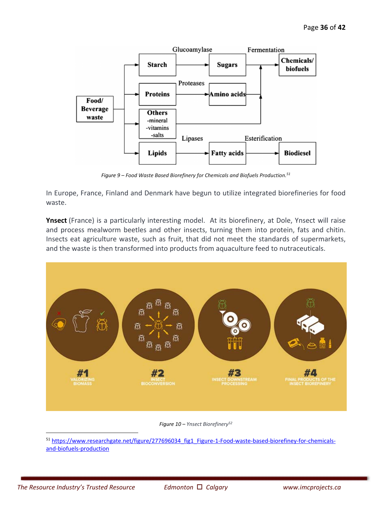

*Figure 9 – Food Waste Based Biorefinery for Chemicals and Biofuels Production.51*

In Europe, France, Finland and Denmark have begun to utilize integrated biorefineries for food waste.

**Ynsect** (France) is a particularly interesting model. At its biorefinery, at Dole, Ynsect will raise and process mealworm beetles and other insects, turning them into protein, fats and chitin. Insects eat agriculture waste, such as fruit, that did not meet the standards of supermarkets, and the waste is then transformed into products from aquaculture feed to nutraceuticals.



*Figure 10 – Ynsect Biorefinery52*

51 https://www.researchgate.net/figure/277696034 fig1 Figure-1-Food-waste-based-biorefiney-for-chemicalsand‐biofuels‐production

 $\overline{a}$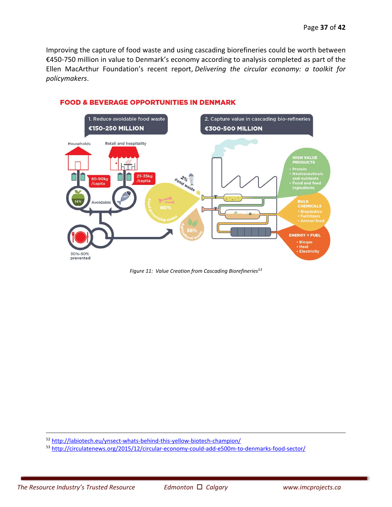Improving the capture of food waste and using cascading biorefineries could be worth between €450‐750 million in value to Denmark's economy according to analysis completed as part of the Ellen MacArthur Foundation's recent report, *Delivering the circular economy: a toolkit for policymakers*.



#### **FOOD & BEVERAGE OPPORTUNITIES IN DENMARK**

*Figure 11: Value Creation from Cascading Biorefineries53*

52 http://labiotech.eu/ynsect-whats-behind-this-yellow-biotech-champion/

53 http://circulatenews.org/2015/12/circular-economy-could-add-e500m-to-denmarks-food-sector/

-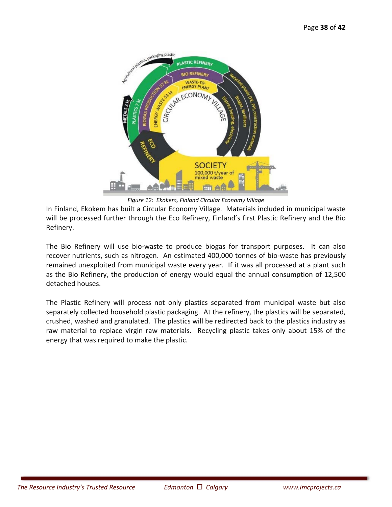

*Figure 12: Ekokem, Finland Circular Economy Village* 

In Finland, Ekokem has built a Circular Economy Village. Materials included in municipal waste will be processed further through the Eco Refinery, Finland's first Plastic Refinery and the Bio Refinery.

The Bio Refinery will use bio-waste to produce biogas for transport purposes. It can also recover nutrients, such as nitrogen. An estimated 400,000 tonnes of bio-waste has previously remained unexploited from municipal waste every year. If it was all processed at a plant such as the Bio Refinery, the production of energy would equal the annual consumption of 12,500 detached houses.

The Plastic Refinery will process not only plastics separated from municipal waste but also separately collected household plastic packaging. At the refinery, the plastics will be separated, crushed, washed and granulated. The plastics will be redirected back to the plastics industry as raw material to replace virgin raw materials. Recycling plastic takes only about 15% of the energy that was required to make the plastic.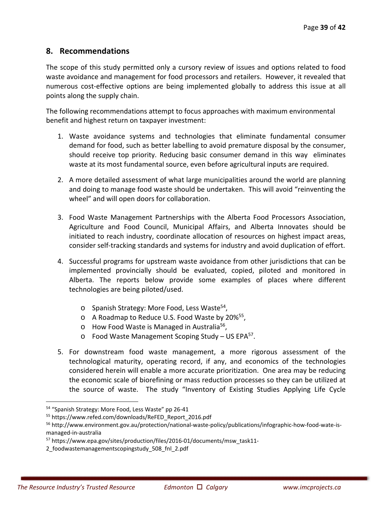# **8. Recommendations**

The scope of this study permitted only a cursory review of issues and options related to food waste avoidance and management for food processors and retailers. However, it revealed that numerous cost‐effective options are being implemented globally to address this issue at all points along the supply chain.

The following recommendations attempt to focus approaches with maximum environmental benefit and highest return on taxpayer investment:

- 1. Waste avoidance systems and technologies that eliminate fundamental consumer demand for food, such as better labelling to avoid premature disposal by the consumer, should receive top priority. Reducing basic consumer demand in this way eliminates waste at its most fundamental source, even before agricultural inputs are required.
- 2. A more detailed assessment of what large municipalities around the world are planning and doing to manage food waste should be undertaken. This will avoid "reinventing the wheel" and will open doors for collaboration.
- 3. Food Waste Management Partnerships with the Alberta Food Processors Association, Agriculture and Food Council, Municipal Affairs, and Alberta Innovates should be initiated to reach industry, coordinate allocation of resources on highest impact areas, consider self‐tracking standards and systems for industry and avoid duplication of effort.
- 4. Successful programs for upstream waste avoidance from other jurisdictions that can be implemented provincially should be evaluated, copied, piloted and monitored in Alberta. The reports below provide some examples of places where different technologies are being piloted/used.
	- o Spanish Strategy: More Food, Less Waste54,
	- o A Roadmap to Reduce U.S. Food Waste by 20%55,
	- $\circ$  How Food Waste is Managed in Australia<sup>56</sup>,
	- $\circ$  Food Waste Management Scoping Study US EPA<sup>57</sup>.
- 5. For downstream food waste management, a more rigorous assessment of the technological maturity, operating record, if any, and economics of the technologies considered herein will enable a more accurate prioritization. One area may be reducing the economic scale of biorefining or mass reduction processes so they can be utilized at the source of waste. The study "Inventory of Existing Studies Applying Life Cycle

-

<sup>54 &</sup>quot;Spanish Strategy: More Food, Less Waste" pp 26-41

<sup>55</sup> https://www.refed.com/downloads/ReFED\_Report\_2016.pdf

<sup>56</sup> http://www.environment.gov.au/protection/national-waste-policy/publications/infographic-how-food-wate-ismanaged‐in‐australia

<sup>57</sup> https://www.epa.gov/sites/production/files/2016‐01/documents/msw\_task11‐

<sup>2</sup>\_foodwastemanagementscopingstudy\_508\_fnl\_2.pdf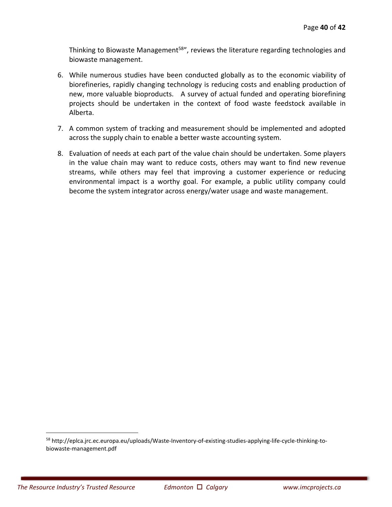Thinking to Biowaste Management<sup>58</sup>", reviews the literature regarding technologies and biowaste management.

- 6. While numerous studies have been conducted globally as to the economic viability of biorefineries, rapidly changing technology is reducing costs and enabling production of new, more valuable bioproducts. A survey of actual funded and operating biorefining projects should be undertaken in the context of food waste feedstock available in Alberta.
- 7. A common system of tracking and measurement should be implemented and adopted across the supply chain to enable a better waste accounting system.
- 8. Evaluation of needs at each part of the value chain should be undertaken. Some players in the value chain may want to reduce costs, others may want to find new revenue streams, while others may feel that improving a customer experience or reducing environmental impact is a worthy goal. For example, a public utility company could become the system integrator across energy/water usage and waste management.

 $\overline{a}$ 

<sup>58</sup> http://eplca.jrc.ec.europa.eu/uploads/Waste-Inventory-of-existing-studies-applying-life-cycle-thinking-tobiowaste‐management.pdf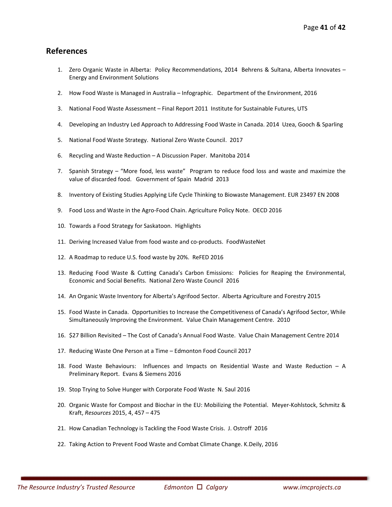#### **References**

- 1. Zero Organic Waste in Alberta: Policy Recommendations, 2014 Behrens & Sultana, Alberta Innovates Energy and Environment Solutions
- 2. How Food Waste is Managed in Australia Infographic. Department of the Environment, 2016
- 3. National Food Waste Assessment Final Report 2011 Institute for Sustainable Futures, UTS
- 4. Developing an Industry Led Approach to Addressing Food Waste in Canada. 2014 Uzea, Gooch & Sparling
- 5. National Food Waste Strategy. National Zero Waste Council. 2017
- 6. Recycling and Waste Reduction A Discussion Paper. Manitoba 2014
- 7. Spanish Strategy "More food, less waste" Program to reduce food loss and waste and maximize the value of discarded food. Government of Spain Madrid 2013
- 8. Inventory of Existing Studies Applying Life Cycle Thinking to Biowaste Management. EUR 23497 EN 2008
- 9. Food Loss and Waste in the Agro-Food Chain. Agriculture Policy Note. OECD 2016
- 10. Towards a Food Strategy for Saskatoon. Highlights
- 11. Deriving Increased Value from food waste and co-products. FoodWasteNet
- 12. A Roadmap to reduce U.S. food waste by 20%. ReFED 2016
- 13. Reducing Food Waste & Cutting Canada's Carbon Emissions: Policies for Reaping the Environmental, Economic and Social Benefits. National Zero Waste Council 2016
- 14. An Organic Waste Inventory for Alberta's Agrifood Sector. Alberta Agriculture and Forestry 2015
- 15. Food Waste in Canada. Opportunities to Increase the Competitiveness of Canada's Agrifood Sector, While Simultaneously Improving the Environment. Value Chain Management Centre. 2010
- 16. \$27 Billion Revisited The Cost of Canada's Annual Food Waste. Value Chain Management Centre 2014
- 17. Reducing Waste One Person at a Time Edmonton Food Council 2017
- 18. Food Waste Behaviours: Influences and Impacts on Residential Waste and Waste Reduction A Preliminary Report. Evans & Siemens 2016
- 19. Stop Trying to Solve Hunger with Corporate Food Waste N. Saul 2016
- 20. Organic Waste for Compost and Biochar in the EU: Mobilizing the Potential. Meyer-Kohlstock, Schmitz & Kraft, *Resources* 2015, 4, 457 – 475
- 21. How Canadian Technology is Tackling the Food Waste Crisis. J. Ostroff 2016
- 22. Taking Action to Prevent Food Waste and Combat Climate Change. K.Deily, 2016